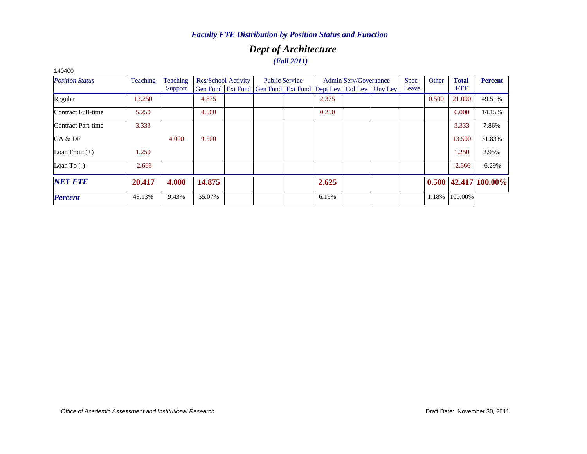### *Dept of Architecture (Fall 2011)*

| 140400                 |          |          |        |                            |                                                                |                       |       |                              |         |             |       |              |                            |
|------------------------|----------|----------|--------|----------------------------|----------------------------------------------------------------|-----------------------|-------|------------------------------|---------|-------------|-------|--------------|----------------------------|
| <b>Position Status</b> | Teaching | Teaching |        | <b>Res/School Activity</b> |                                                                | <b>Public Service</b> |       | <b>Admin Serv/Governance</b> |         | <b>Spec</b> | Other | <b>Total</b> | <b>Percent</b>             |
|                        |          | Support  |        |                            | Gen Fund   Ext Fund   Gen Fund   Ext Fund   Dept Lev   Col Lev |                       |       |                              | Unv Lev | Leave       |       | <b>FTE</b>   |                            |
| Regular                | 13.250   |          | 4.875  |                            |                                                                |                       | 2.375 |                              |         |             | 0.500 | 21,000       | 49.51%                     |
| Contract Full-time     | 5.250    |          | 0.500  |                            |                                                                |                       | 0.250 |                              |         |             |       | 6.000        | 14.15%                     |
| Contract Part-time     | 3.333    |          |        |                            |                                                                |                       |       |                              |         |             |       | 3.333        | 7.86%                      |
| GA & DF                |          | 4.000    | 9.500  |                            |                                                                |                       |       |                              |         |             |       | 13.500       | 31.83%                     |
| Loan From $(+)$        | 1.250    |          |        |                            |                                                                |                       |       |                              |         |             |       | 1.250        | 2.95%                      |
| Loan To $(-)$          | $-2.666$ |          |        |                            |                                                                |                       |       |                              |         |             |       | $-2.666$     | $-6.29%$                   |
| <b>NET FTE</b>         | 20.417   | 4.000    | 14.875 |                            |                                                                |                       | 2.625 |                              |         |             |       |              | $0.500$   42.417   100.00% |
| <b>Percent</b>         | 48.13%   | 9.43%    | 35.07% |                            |                                                                |                       | 6.19% |                              |         |             | 1.18% | 100.00%      |                            |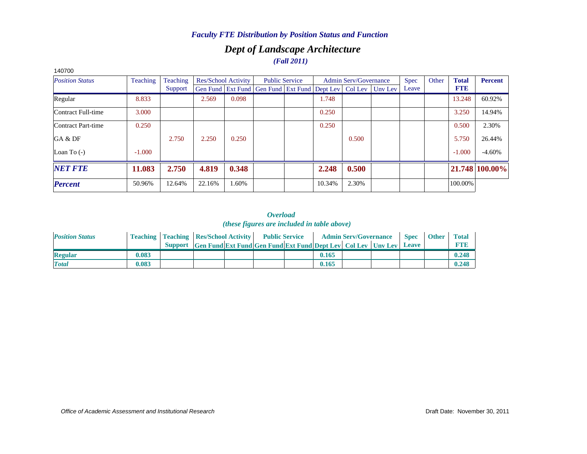### *Dept of Landscape Architecture (Fall 2011)*

| 140700                    |          |          |        |                     |                                                                |        |                              |         |             |       |              |                |
|---------------------------|----------|----------|--------|---------------------|----------------------------------------------------------------|--------|------------------------------|---------|-------------|-------|--------------|----------------|
| <b>Position Status</b>    | Teaching | Teaching |        | Res/School Activity | <b>Public Service</b>                                          |        | <b>Admin Serv/Governance</b> |         | <b>Spec</b> | Other | <b>Total</b> | <b>Percent</b> |
|                           |          | Support  |        |                     | Gen Fund   Ext Fund   Gen Fund   Ext Fund   Dept Lev   Col Lev |        |                              | Unv Lev | Leave       |       | <b>FTE</b>   |                |
| Regular                   | 8.833    |          | 2.569  | 0.098               |                                                                | 1.748  |                              |         |             |       | 13.248       | 60.92%         |
| Contract Full-time        | 3.000    |          |        |                     |                                                                | 0.250  |                              |         |             |       | 3.250        | 14.94%         |
| <b>Contract Part-time</b> | 0.250    |          |        |                     |                                                                | 0.250  |                              |         |             |       | 0.500        | 2.30%          |
| GA & DF                   |          | 2.750    | 2.250  | 0.250               |                                                                |        | 0.500                        |         |             |       | 5.750        | 26.44%         |
| Loan To $(-)$             | $-1.000$ |          |        |                     |                                                                |        |                              |         |             |       | $-1.000$     | $-4.60%$       |
| <b>NET FTE</b>            | 11.083   | 2.750    | 4.819  | 0.348               |                                                                | 2.248  | 0.500                        |         |             |       |              | 21.748 100.00% |
| <b>Percent</b>            | 50.96%   | 12.64%   | 22.16% | 1.60%               |                                                                | 10.34% | 2.30%                        |         |             |       | 100.00%      |                |

#### *Overload (these figures are included in table above)*

| <b>Position Status</b> |       | <b>Teaching   Teaching   Res/School Activity   Public Service</b> |                                                                      |  |       | <b>Admin Serv/Governance</b> | <b>Spec</b>  | <b>Other</b> | <b>Total</b> |
|------------------------|-------|-------------------------------------------------------------------|----------------------------------------------------------------------|--|-------|------------------------------|--------------|--------------|--------------|
|                        |       |                                                                   | Support Gen Fund Ext Fund Gen Fund Ext Fund Dept Lev Col Lev Unv Lev |  |       |                              | <b>Leave</b> |              | FTF          |
| <b>Regular</b>         | 0.083 |                                                                   |                                                                      |  | 0.165 |                              |              |              | 0.248        |
| <b>Total</b>           | 0.083 |                                                                   |                                                                      |  | 0.165 |                              |              |              | 0.248        |

#### *Office of Academic Assessment and Institutional Research*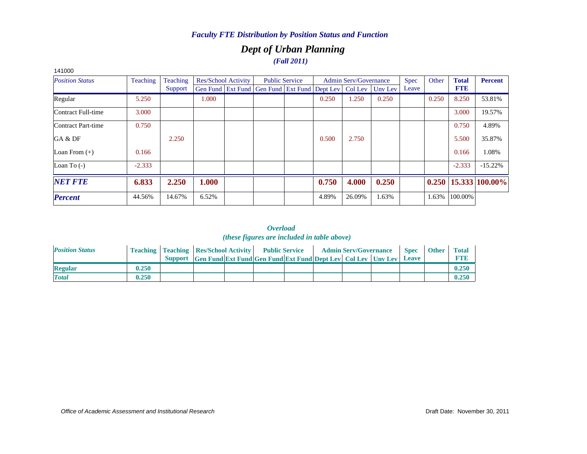### *Dept of Urban Planning (Fall 2011)*

| 141000                 |          |          |       |                            |                                                                |                       |       |                              |         |             |       |              |                |
|------------------------|----------|----------|-------|----------------------------|----------------------------------------------------------------|-----------------------|-------|------------------------------|---------|-------------|-------|--------------|----------------|
| <b>Position Status</b> | Teaching | Teaching |       | <b>Res/School Activity</b> |                                                                | <b>Public Service</b> |       | <b>Admin Serv/Governance</b> |         | <b>Spec</b> | Other | <b>Total</b> | <b>Percent</b> |
|                        |          | Support  |       |                            | Gen Fund   Ext Fund   Gen Fund   Ext Fund   Dept Lev   Col Lev |                       |       |                              | Unv Lev | Leave       |       | <b>FTE</b>   |                |
| Regular                | 5.250    |          | 1.000 |                            |                                                                |                       | 0.250 | 1.250                        | 0.250   |             | 0.250 | 8.250        | 53.81%         |
| Contract Full-time     | 3.000    |          |       |                            |                                                                |                       |       |                              |         |             |       | 3.000        | 19.57%         |
| Contract Part-time     | 0.750    |          |       |                            |                                                                |                       |       |                              |         |             |       | 0.750        | 4.89%          |
| GA & DF                |          | 2.250    |       |                            |                                                                |                       | 0.500 | 2.750                        |         |             |       | 5.500        | 35.87%         |
| Loan From $(+)$        | 0.166    |          |       |                            |                                                                |                       |       |                              |         |             |       | 0.166        | 1.08%          |
| Loan To $(-)$          | $-2.333$ |          |       |                            |                                                                |                       |       |                              |         |             |       | $-2.333$     | $-15.22%$      |
| <b>NET FTE</b>         | 6.833    | 2.250    | 1.000 |                            |                                                                |                       | 0.750 | 4.000                        | 0.250   |             | 0.250 |              | 15.333 100.00% |
| <b>Percent</b>         | 44.56%   | 14.67%   | 6.52% |                            |                                                                |                       | 4.89% | 26.09%                       | 1.63%   |             | 1.63% | 100.00%      |                |

| <b>Position Status</b> |       | <b>Teaching   Teaching   Res/School Activity   Public Service</b> |                                                                      |  |  | <b>Admin Serv/Governance</b> | <b>Spec</b> | <b>Other</b> | <b>Total</b> |
|------------------------|-------|-------------------------------------------------------------------|----------------------------------------------------------------------|--|--|------------------------------|-------------|--------------|--------------|
|                        |       |                                                                   | Support Gen Fund Ext Fund Gen Fund Ext Fund Dept Lev Col Lev Unv Lev |  |  |                              | Leave       |              | <b>FTE</b>   |
| <b>Regular</b>         | 0.250 |                                                                   |                                                                      |  |  |                              |             |              | 0.250        |
| <b>Total</b>           | 0.250 |                                                                   |                                                                      |  |  |                              |             |              | 0.250        |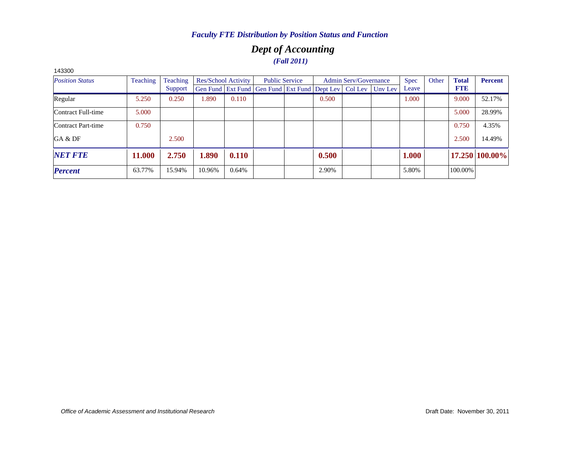### *Dept of Accounting (Fall 2011)*

| 143300                 |                 |          |        |                     |                                                                          |       |                              |             |       |              |                |
|------------------------|-----------------|----------|--------|---------------------|--------------------------------------------------------------------------|-------|------------------------------|-------------|-------|--------------|----------------|
| <b>Position Status</b> | <b>Teaching</b> | Teaching |        | Res/School Activity | <b>Public Service</b>                                                    |       | <b>Admin Serv/Governance</b> | <b>Spec</b> | Other | <b>Total</b> | <b>Percent</b> |
|                        |                 | Support  |        |                     | Gen Fund   Ext Fund   Gen Fund   Ext Fund   Dept Lev   Col Lev   Unv Lev |       |                              | Leave       |       | <b>FTE</b>   |                |
| Regular                | 5.250           | 0.250    | 1.890  | 0.110               |                                                                          | 0.500 |                              | 1.000       |       | 9.000        | 52.17%         |
| Contract Full-time     | 5.000           |          |        |                     |                                                                          |       |                              |             |       | 5.000        | 28.99%         |
| Contract Part-time     | 0.750           |          |        |                     |                                                                          |       |                              |             |       | 0.750        | 4.35%          |
| GA & DF                |                 | 2.500    |        |                     |                                                                          |       |                              |             |       | 2.500        | 14.49%         |
| <b>NET FTE</b>         | 11.000          | 2.750    | 1.890  | 0.110               |                                                                          | 0.500 |                              | 1.000       |       |              | 17.250 100.00% |
| <b>Percent</b>         | 63.77%          | 15.94%   | 10.96% | 0.64%               |                                                                          | 2.90% |                              | 5.80%       |       | 100.00%      |                |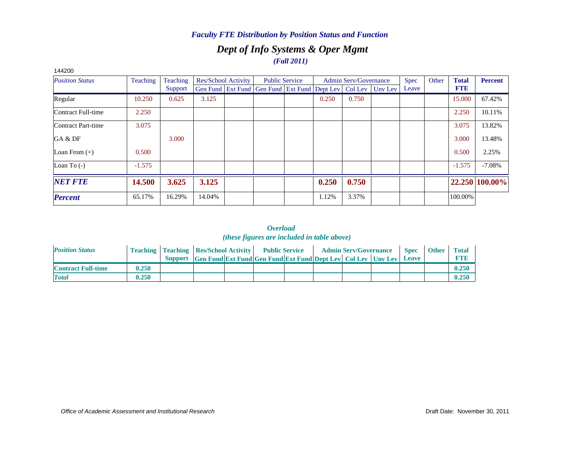### *Dept of Info Systems & Oper Mgmt (Fall 2011)*

| 144200                 |          |          |        |                     |                                                                          |                       |       |                              |             |       |              |                |
|------------------------|----------|----------|--------|---------------------|--------------------------------------------------------------------------|-----------------------|-------|------------------------------|-------------|-------|--------------|----------------|
| <b>Position Status</b> | Teaching | Teaching |        | Res/School Activity |                                                                          | <b>Public Service</b> |       | <b>Admin Serv/Governance</b> | <b>Spec</b> | Other | <b>Total</b> | <b>Percent</b> |
|                        |          | Support  |        |                     | Gen Fund   Ext Fund   Gen Fund   Ext Fund   Dept Lev   Col Lev   Unv Lev |                       |       |                              | Leave       |       | <b>FTE</b>   |                |
| Regular                | 10.250   | 0.625    | 3.125  |                     |                                                                          |                       | 0.250 | 0.750                        |             |       | 15.000       | 67.42%         |
| Contract Full-time     | 2.250    |          |        |                     |                                                                          |                       |       |                              |             |       | 2.250        | 10.11%         |
| Contract Part-time     | 3.075    |          |        |                     |                                                                          |                       |       |                              |             |       | 3.075        | 13.82%         |
| GA & DF                |          | 3.000    |        |                     |                                                                          |                       |       |                              |             |       | 3.000        | 13.48%         |
| Loan From $(+)$        | 0.500    |          |        |                     |                                                                          |                       |       |                              |             |       | 0.500        | 2.25%          |
| Loan To $(-)$          | $-1.575$ |          |        |                     |                                                                          |                       |       |                              |             |       | $-1.575$     | $-7.08%$       |
| <b>NET FTE</b>         | 14.500   | 3.625    | 3.125  |                     |                                                                          |                       | 0.250 | 0.750                        |             |       |              | 22.250 100.00% |
| <b>Percent</b>         | 65.17%   | 16.29%   | 14.04% |                     |                                                                          |                       | 1.12% | 3.37%                        |             |       | 100.00%      |                |
|                        |          |          |        |                     |                                                                          |                       |       |                              |             |       |              |                |

#### 144200

| <b>Position Status</b>    |       | <b>Teaching   Teaching   Res/School Activity   Public Service</b> |                                                                      |  | <b>Admin Serv/Governance</b> |  | <b>Spec</b> | <b>Other</b> | <b>Total</b> |
|---------------------------|-------|-------------------------------------------------------------------|----------------------------------------------------------------------|--|------------------------------|--|-------------|--------------|--------------|
|                           |       |                                                                   | Support Gen Fund Ext Fund Gen Fund Ext Fund Dept Lev Col Lev Unv Lev |  |                              |  | Leave       |              |              |
| <b>Contract Full-time</b> | 0.250 |                                                                   |                                                                      |  |                              |  |             |              | 0.250        |
| <b>Total</b>              | 0.250 |                                                                   |                                                                      |  |                              |  |             |              | 0.250        |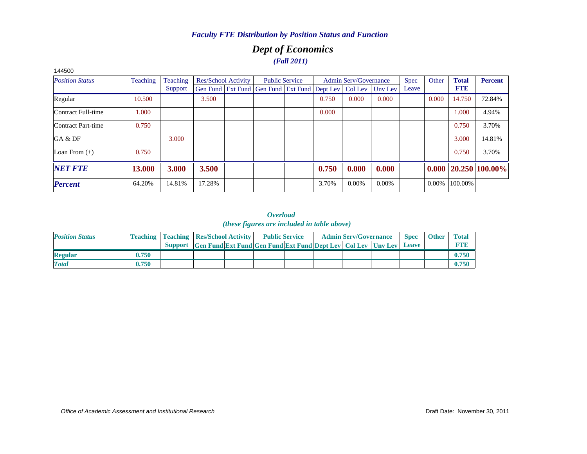### *Dept of Economics (Fall 2011)*

| 144500                 |          |          |        |                            |                                                                |       |                              |          |             |          |              |                |
|------------------------|----------|----------|--------|----------------------------|----------------------------------------------------------------|-------|------------------------------|----------|-------------|----------|--------------|----------------|
| <b>Position Status</b> | Teaching | Teaching |        | <b>Res/School Activity</b> | <b>Public Service</b>                                          |       | <b>Admin Serv/Governance</b> |          | <b>Spec</b> | Other    | <b>Total</b> | <b>Percent</b> |
|                        |          | Support  |        |                            | Gen Fund   Ext Fund   Gen Fund   Ext Fund   Dept Lev   Col Lev |       |                              | Unv Lev  | Leave       |          | <b>FTE</b>   |                |
| Regular                | 10.500   |          | 3.500  |                            |                                                                | 0.750 | 0.000                        | 0.000    |             | 0.000    | 14.750       | 72.84%         |
| Contract Full-time     | 1.000    |          |        |                            |                                                                | 0.000 |                              |          |             |          | 1.000        | 4.94%          |
| Contract Part-time     | 0.750    |          |        |                            |                                                                |       |                              |          |             |          | 0.750        | 3.70%          |
| GA & DF                |          | 3.000    |        |                            |                                                                |       |                              |          |             |          | 3.000        | 14.81%         |
| Loan From $(+)$        | 0.750    |          |        |                            |                                                                |       |                              |          |             |          | 0.750        | 3.70%          |
| <b>NET FTE</b>         | 13.000   | 3.000    | 3.500  |                            |                                                                | 0.750 | 0.000                        | 0.000    |             | 0.000    |              | 20.250 100.00% |
| <b>Percent</b>         | 64.20%   | 14.81%   | 17.28% |                            |                                                                | 3.70% | $0.00\%$                     | $0.00\%$ |             | $0.00\%$ | 100.00%      |                |

| <b>Position Status</b> |       | <b>Teaching   Teaching   Res/School Activity   Public Service</b> |                                                                      |  |  | <b>Admin Serv/Governance</b> | <b>Spec</b> | <b>Other</b> | <b>Total</b> |
|------------------------|-------|-------------------------------------------------------------------|----------------------------------------------------------------------|--|--|------------------------------|-------------|--------------|--------------|
|                        |       |                                                                   | Support Gen Fund Ext Fund Gen Fund Ext Fund Dept Lev Col Lev Unv Lev |  |  |                              | Leave       |              | FTF          |
| <b>Regular</b>         | 0.750 |                                                                   |                                                                      |  |  |                              |             |              | 0.750        |
| <b>Total</b>           | 0.750 |                                                                   |                                                                      |  |  |                              |             |              | 0.750        |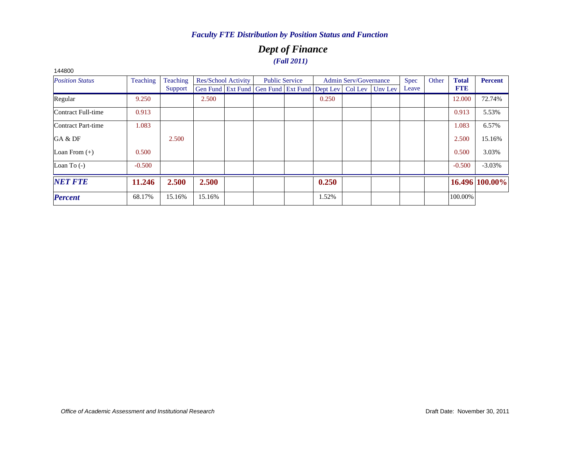### *Dept of Finance (Fall 2011)*

| <b>Position Status</b> | Teaching | Teaching | Res/School Activity                                              | <b>Public Service</b> |       | <b>Admin Serv/Governance</b> | Spec  | Other | <b>Total</b> | <b>Percent</b> |
|------------------------|----------|----------|------------------------------------------------------------------|-----------------------|-------|------------------------------|-------|-------|--------------|----------------|
|                        |          | Support  | Gen Fund Ext Fund Gen Fund Ext Fund Dept Lev   Col Lev   Unv Lev |                       |       |                              | Leave |       | <b>FTE</b>   |                |
| Regular                | 9.250    |          | 2.500                                                            |                       | 0.250 |                              |       |       | 12.000       | 72.74%         |
| Contract Full-time     | 0.913    |          |                                                                  |                       |       |                              |       |       | 0.913        | 5.53%          |
| Contract Part-time     | 1.083    |          |                                                                  |                       |       |                              |       |       | 1.083        | 6.57%          |
| GA & DF                |          | 2.500    |                                                                  |                       |       |                              |       |       | 2.500        | 15.16%         |
| Loan From $(+)$        | 0.500    |          |                                                                  |                       |       |                              |       |       | 0.500        | 3.03%          |
| Loan To $(-)$          | $-0.500$ |          |                                                                  |                       |       |                              |       |       | $-0.500$     | $-3.03%$       |
| <b>NET FTE</b>         | 11.246   | 2.500    | 2.500                                                            |                       | 0.250 |                              |       |       |              | 16.496 100.00% |
| <b>Percent</b>         | 68.17%   | 15.16%   | 15.16%                                                           |                       | 1.52% |                              |       |       | 100.00%      |                |
|                        |          |          |                                                                  |                       |       |                              |       |       |              |                |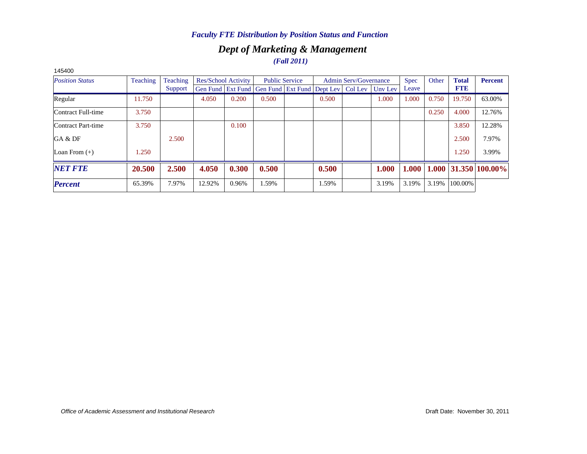### *Dept of Marketing & Management (Fall 2011)*

| 140400                 |          |          |        |                            |                                                      |                       |       |                       |         |             |       |              |                                   |
|------------------------|----------|----------|--------|----------------------------|------------------------------------------------------|-----------------------|-------|-----------------------|---------|-------------|-------|--------------|-----------------------------------|
| <b>Position Status</b> | Teaching | Teaching |        | <b>Res/School Activity</b> |                                                      | <b>Public Service</b> |       | Admin Serv/Governance |         | <b>Spec</b> | Other | <b>Total</b> | <b>Percent</b>                    |
|                        |          | Support  |        |                            | Gen Fund   Ext Fund   Gen Fund   Ext Fund   Dept Lev |                       |       | Col Lev               | Unv Lev | Leave       |       | <b>FTE</b>   |                                   |
| Regular                | 11.750   |          | 4.050  | 0.200                      | 0.500                                                |                       | 0.500 |                       | 1.000   | 1.000       | 0.750 | 19.750       | 63.00%                            |
| Contract Full-time     | 3.750    |          |        |                            |                                                      |                       |       |                       |         |             | 0.250 | 4.000        | 12.76%                            |
| Contract Part-time     | 3.750    |          |        | 0.100                      |                                                      |                       |       |                       |         |             |       | 3.850        | 12.28%                            |
| GA & DF                |          | 2.500    |        |                            |                                                      |                       |       |                       |         |             |       | 2.500        | 7.97%                             |
| Loan From $(+)$        | 1.250    |          |        |                            |                                                      |                       |       |                       |         |             |       | 1.250        | 3.99%                             |
| <b>NET FTE</b>         | 20.500   | 2.500    | 4.050  | 0.300                      | 0.500                                                |                       | 0.500 |                       | 1.000   | 1.000       |       |              | $1.000 \,   31.350 \,   100.00\%$ |
| <b>Percent</b>         | 65.39%   | 7.97%    | 12.92% | 0.96%                      | .59%                                                 |                       | 1.59% |                       | 3.19%   | 3.19%       | 3.19% | 100.00%      |                                   |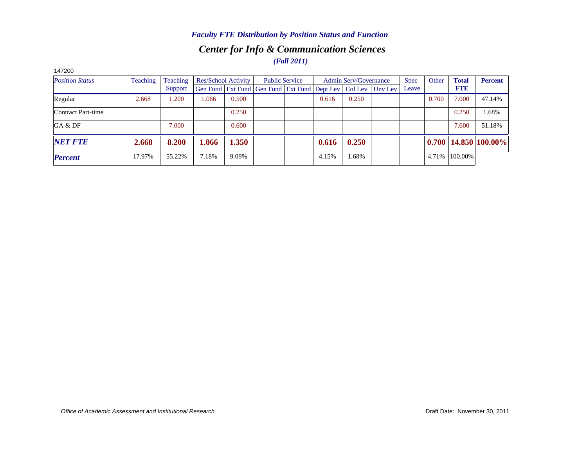### *Center for Info & Communication Sciences (Fall 2011) Faculty FTE Distribution by Position Status and Function*

| 147200                 |                 |                 |       |                            |                                                                |                       |       |                              |         |             |       |              |                            |
|------------------------|-----------------|-----------------|-------|----------------------------|----------------------------------------------------------------|-----------------------|-------|------------------------------|---------|-------------|-------|--------------|----------------------------|
| <b>Position Status</b> | <b>Teaching</b> | <b>Teaching</b> |       | <b>Res/School Activity</b> |                                                                | <b>Public Service</b> |       | <b>Admin Serv/Governance</b> |         | <b>Spec</b> | Other | <b>Total</b> | <b>Percent</b>             |
|                        |                 | Support         |       |                            | Gen Fund   Ext Fund   Gen Fund   Ext Fund   Dept Lev   Col Lev |                       |       |                              | Uny Lev | Leave       |       | <b>FTE</b>   |                            |
| Regular                | 2.668           | 1.200           | .066  | 0.500                      |                                                                |                       | 0.616 | 0.250                        |         |             | 0.700 | 7.000        | 47.14%                     |
| Contract Part-time     |                 |                 |       | 0.250                      |                                                                |                       |       |                              |         |             |       | 0.250        | 1.68%                      |
| GA & DF                |                 | 7.000           |       | 0.600                      |                                                                |                       |       |                              |         |             |       | 7.600        | 51.18%                     |
| <b>NET FTE</b>         | 2.668           | 8.200           | 1.066 | 1.350                      |                                                                |                       | 0.616 | 0.250                        |         |             |       |              | $0.700$   14.850   100.00% |
| <b>Percent</b>         | 17.97%          | 55.22%          | 7.18% | 9.09%                      |                                                                |                       | 4.15% | 1.68%                        |         |             | 4.71% | 100.00%      |                            |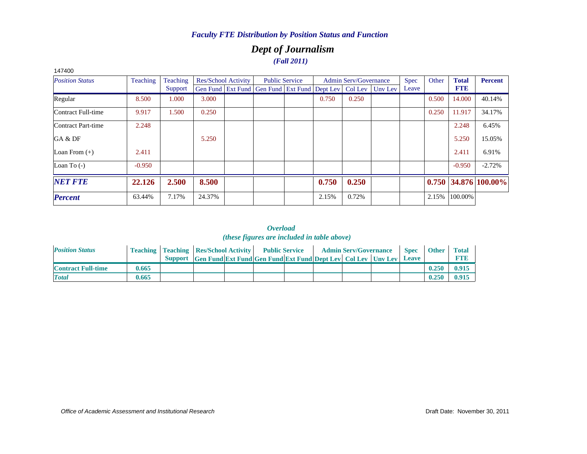### *Dept of Journalism (Fall 2011)*

| 147400                 |          |          |        |                            |                                                      |                       |       |                              |         |       |       |              |                        |
|------------------------|----------|----------|--------|----------------------------|------------------------------------------------------|-----------------------|-------|------------------------------|---------|-------|-------|--------------|------------------------|
| <b>Position Status</b> | Teaching | Teaching |        | <b>Res/School Activity</b> |                                                      | <b>Public Service</b> |       | <b>Admin Serv/Governance</b> |         | Spec  | Other | <b>Total</b> | <b>Percent</b>         |
|                        |          | Support  |        |                            | Gen Fund   Ext Fund   Gen Fund   Ext Fund   Dept Lev |                       |       | Col Lev                      | Unv Lev | Leave |       | <b>FTE</b>   |                        |
| Regular                | 8.500    | 1.000    | 3.000  |                            |                                                      |                       | 0.750 | 0.250                        |         |       | 0.500 | 14.000       | 40.14%                 |
| Contract Full-time     | 9.917    | 1.500    | 0.250  |                            |                                                      |                       |       |                              |         |       | 0.250 | 11.917       | 34.17%                 |
| Contract Part-time     | 2.248    |          |        |                            |                                                      |                       |       |                              |         |       |       | 2.248        | 6.45%                  |
| GA & DF                |          |          | 5.250  |                            |                                                      |                       |       |                              |         |       |       | 5.250        | 15.05%                 |
| Loan From $(+)$        | 2.411    |          |        |                            |                                                      |                       |       |                              |         |       |       | 2.411        | 6.91%                  |
| Loan To $(-)$          | $-0.950$ |          |        |                            |                                                      |                       |       |                              |         |       |       | $-0.950$     | $-2.72%$               |
| <b>NET FTE</b>         | 22.126   | 2.500    | 8.500  |                            |                                                      |                       | 0.750 | 0.250                        |         |       |       |              | $0.750$ 34.876 100.00% |
| <b>Percent</b>         | 63.44%   | 7.17%    | 24.37% |                            |                                                      |                       | 2.15% | 0.72%                        |         |       | 2.15% | 100.00%      |                        |

| <b>Position Status</b>    |       | <b>Teaching   Teaching   Res/School Activity   Public Service</b> |                                                                      |  |  | <b>Admin Serv/Governance</b> | <b>Spec</b> | <b>Other</b> | <b>Total</b> |
|---------------------------|-------|-------------------------------------------------------------------|----------------------------------------------------------------------|--|--|------------------------------|-------------|--------------|--------------|
|                           |       |                                                                   | Support Gen Fund Ext Fund Gen Fund Ext Fund Dept Lev Col Lev Unv Lev |  |  |                              | Leave       |              |              |
| <b>Contract Full-time</b> | 0.665 |                                                                   |                                                                      |  |  |                              |             | 0.250        | 0.915        |
| <b>Total</b>              | 0.665 |                                                                   |                                                                      |  |  |                              |             | 0.250        | 0.915        |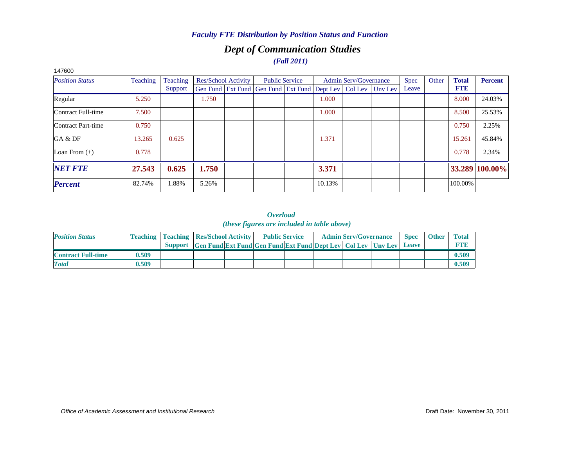### *Dept of Communication Studies (Fall 2011)*

| 147 OUU                |          |          |       |                            |                                                                |        |                              |         |             |       |              |                |
|------------------------|----------|----------|-------|----------------------------|----------------------------------------------------------------|--------|------------------------------|---------|-------------|-------|--------------|----------------|
| <b>Position Status</b> | Teaching | Teaching |       | <b>Res/School Activity</b> | <b>Public Service</b>                                          |        | <b>Admin Serv/Governance</b> |         | <b>Spec</b> | Other | <b>Total</b> | <b>Percent</b> |
|                        |          | Support  |       |                            | Gen Fund   Ext Fund   Gen Fund   Ext Fund   Dept Lev   Col Lev |        |                              | Unv Lev | Leave       |       | <b>FTE</b>   |                |
| Regular                | 5.250    |          | 1.750 |                            |                                                                | 1.000  |                              |         |             |       | 8.000        | 24.03%         |
| Contract Full-time     | 7.500    |          |       |                            |                                                                | 1.000  |                              |         |             |       | 8.500        | 25.53%         |
| Contract Part-time     | 0.750    |          |       |                            |                                                                |        |                              |         |             |       | 0.750        | 2.25%          |
| GA & DF                | 13.265   | 0.625    |       |                            |                                                                | 1.371  |                              |         |             |       | 15.261       | 45.84%         |
| Loan From $(+)$        | 0.778    |          |       |                            |                                                                |        |                              |         |             |       | 0.778        | 2.34%          |
| <b>NET FTE</b>         | 27.543   | 0.625    | 1.750 |                            |                                                                | 3.371  |                              |         |             |       |              | 33.289 100.00% |
| <b>Percent</b>         | 82.74%   | 1.88%    | 5.26% |                            |                                                                | 10.13% |                              |         |             |       | 100.00%      |                |

### 147600

| <b>Position Status</b>    |       | <b>Teaching   Teaching   Res/School Activity  </b> |                                                                      | <b>Public Service</b> |  | <b>Admin Serv/Governance</b> | <b>Spec</b> | <b>Other</b> | <b>Total</b> |
|---------------------------|-------|----------------------------------------------------|----------------------------------------------------------------------|-----------------------|--|------------------------------|-------------|--------------|--------------|
|                           |       |                                                    | Support Gen Fund Ext Fund Gen Fund Ext Fund Dept Lev Col Lev Unv Lev |                       |  |                              | Leave       |              |              |
| <b>Contract Full-time</b> | 0.509 |                                                    |                                                                      |                       |  |                              |             |              | 0.509        |
| <b>T</b> otal             | 0.509 |                                                    |                                                                      |                       |  |                              |             |              | 0.509        |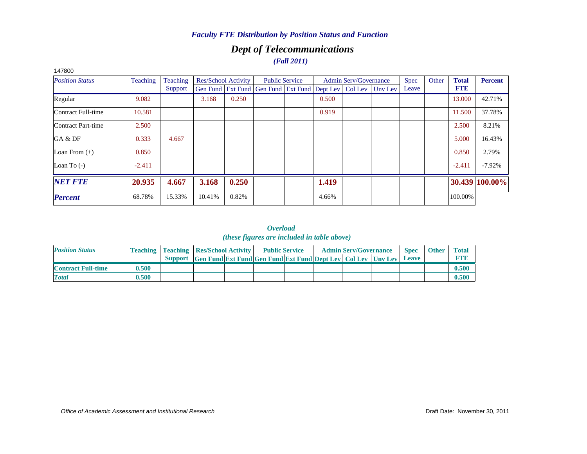## *Dept of Telecommunications*

*(Fall 2011)*

| 147800                 |          |          |        |                     |                                                                          |       |                              |             |       |              |                |
|------------------------|----------|----------|--------|---------------------|--------------------------------------------------------------------------|-------|------------------------------|-------------|-------|--------------|----------------|
| <b>Position Status</b> | Teaching | Teaching |        | Res/School Activity | <b>Public Service</b>                                                    |       | <b>Admin Serv/Governance</b> | <b>Spec</b> | Other | <b>Total</b> | <b>Percent</b> |
|                        |          | Support  |        |                     | Gen Fund   Ext Fund   Gen Fund   Ext Fund   Dept Lev   Col Lev   Unv Lev |       |                              | Leave       |       | <b>FTE</b>   |                |
| Regular                | 9.082    |          | 3.168  | 0.250               |                                                                          | 0.500 |                              |             |       | 13.000       | 42.71%         |
| Contract Full-time     | 10.581   |          |        |                     |                                                                          | 0.919 |                              |             |       | 11.500       | 37.78%         |
| Contract Part-time     | 2.500    |          |        |                     |                                                                          |       |                              |             |       | 2.500        | 8.21%          |
| GA & DF                | 0.333    | 4.667    |        |                     |                                                                          |       |                              |             |       | 5.000        | 16.43%         |
| Loan From $(+)$        | 0.850    |          |        |                     |                                                                          |       |                              |             |       | 0.850        | 2.79%          |
| Loan To $(-)$          | $-2.411$ |          |        |                     |                                                                          |       |                              |             |       | $-2.411$     | $-7.92%$       |
| <b>NET FTE</b>         | 20.935   | 4.667    | 3.168  | 0.250               |                                                                          | 1.419 |                              |             |       |              | 30.439 100.00% |
| <b>Percent</b>         | 68.78%   | 15.33%   | 10.41% | 0.82%               |                                                                          | 4.66% |                              |             |       | 100.00%      |                |

| <b>Position Status</b>    |       | <b>Teaching   Teaching   Res/School Activity  </b> |                                                                      | <b>Public Service</b> |  | <b>Admin Serv/Governance</b> | <b>Spec</b> | <b>Other</b> | <b>Total</b> |
|---------------------------|-------|----------------------------------------------------|----------------------------------------------------------------------|-----------------------|--|------------------------------|-------------|--------------|--------------|
|                           |       |                                                    | Support Gen Fund Ext Fund Gen Fund Ext Fund Dept Lev Col Lev Unv Lev |                       |  |                              | Leave       |              | <b>FTE</b>   |
| <b>Contract Full-time</b> | 0.500 |                                                    |                                                                      |                       |  |                              |             |              | 0.500        |
| <b>Total</b>              | 0.500 |                                                    |                                                                      |                       |  |                              |             |              | 0.500        |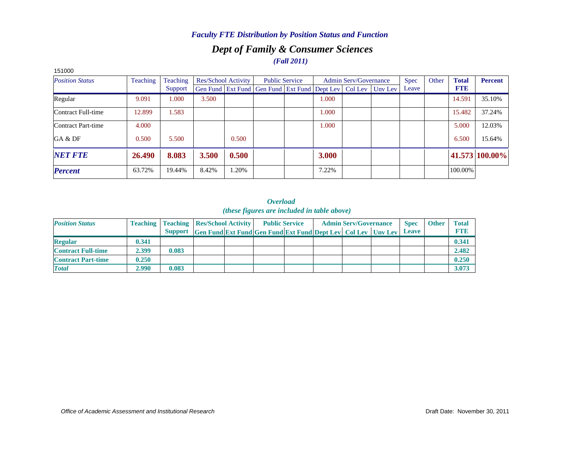### *Dept of Family & Consumer Sciences (Fall 2011)*

| 151000                 |          |          |       |                            |                                                      |       |                              |         |       |       |              |                |
|------------------------|----------|----------|-------|----------------------------|------------------------------------------------------|-------|------------------------------|---------|-------|-------|--------------|----------------|
| <b>Position Status</b> | Teaching | Teaching |       | <b>Res/School Activity</b> | <b>Public Service</b>                                |       | <b>Admin Serv/Governance</b> |         | Spec  | Other | <b>Total</b> | <b>Percent</b> |
|                        |          | Support  |       |                            | Gen Fund   Ext Fund   Gen Fund   Ext Fund   Dept Lev |       | Col Lev                      | Unv Lev | Leave |       | <b>FTE</b>   |                |
| Regular                | 9.091    | 1.000    | 3.500 |                            |                                                      | 1.000 |                              |         |       |       | 14.591       | 35.10%         |
| Contract Full-time     | 12.899   | 1.583    |       |                            |                                                      | 1.000 |                              |         |       |       | 15.482       | 37.24%         |
| Contract Part-time     | 4.000    |          |       |                            |                                                      | 1.000 |                              |         |       |       | 5.000        | 12.03%         |
| GA & DF                | 0.500    | 5.500    |       | 0.500                      |                                                      |       |                              |         |       |       | 6.500        | 15.64%         |
| <b>NET FTE</b>         | 26.490   | 8.083    | 3.500 | 0.500                      |                                                      | 3.000 |                              |         |       |       |              | 41.573 100.00% |
| <b>Percent</b>         | 63.72%   | 19.44%   | 8.42% | 1.20%                      |                                                      | 7.22% |                              |         |       |       | 100.00%      |                |

| <b>Position Status</b>    |       | <b>Teaching   Teaching   Res/School Activity  </b> |                                                                     | <b>Public Service</b> |  | <b>Admin Serv/Governance</b> | <b>Spec</b>  | <b>Other</b> | <b>Total</b> |
|---------------------------|-------|----------------------------------------------------|---------------------------------------------------------------------|-----------------------|--|------------------------------|--------------|--------------|--------------|
|                           |       | Support                                            | <b>Gen Fund Ext Fund Gen Fund Ext Fund Dept Lev Col Lev Unv Lev</b> |                       |  |                              | <b>Leave</b> |              | <b>FTE</b>   |
| <b>Regular</b>            | 0.341 |                                                    |                                                                     |                       |  |                              |              |              | 0.341        |
| <b>Contract Full-time</b> | 2.399 | 0.083                                              |                                                                     |                       |  |                              |              |              | 2.482        |
| <b>Contract Part-time</b> | 0.250 |                                                    |                                                                     |                       |  |                              |              |              | 0.250        |
| <b>Total</b>              | 2.990 | 0.083                                              |                                                                     |                       |  |                              |              |              | 3.073        |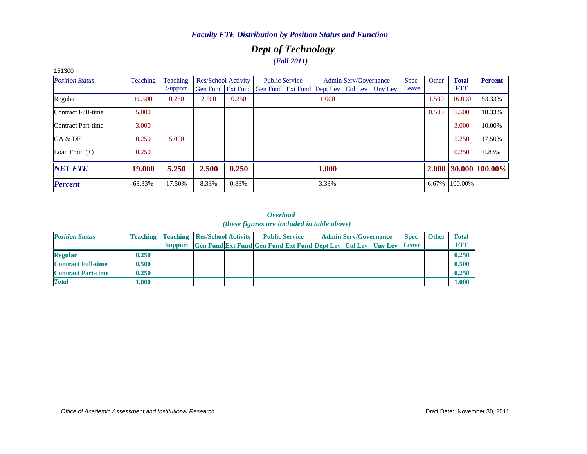### *Dept of Technology (Fall 2011)*

| 151300                 |                 |          |                            |       |                                                                          |       |                              |       |       |              |                      |
|------------------------|-----------------|----------|----------------------------|-------|--------------------------------------------------------------------------|-------|------------------------------|-------|-------|--------------|----------------------|
| <b>Position Status</b> | <b>Teaching</b> | Teaching | <b>Res/School Activity</b> |       | <b>Public Service</b>                                                    |       | <b>Admin Serv/Governance</b> | Spec  | Other | <b>Total</b> | <b>Percent</b>       |
|                        |                 | Support  |                            |       | Gen Fund   Ext Fund   Gen Fund   Ext Fund   Dept Lev   Col Lev   Unv Lev |       |                              | Leave |       | <b>FTE</b>   |                      |
| Regular                | 10.500          | 0.250    | 2.500                      | 0.250 |                                                                          | 1.000 |                              |       | 1.500 | 16.000       | 53.33%               |
| Contract Full-time     | 5.000           |          |                            |       |                                                                          |       |                              |       | 0.500 | 5.500        | 18.33%               |
| Contract Part-time     | 3.000           |          |                            |       |                                                                          |       |                              |       |       | 3.000        | 10.00%               |
| GA & DF                | 0.250           | 5.000    |                            |       |                                                                          |       |                              |       |       | 5.250        | 17.50%               |
| Loan From $(+)$        | 0.250           |          |                            |       |                                                                          |       |                              |       |       | 0.250        | 0.83%                |
| <b>NET FTE</b>         | 19.000          | 5.250    | 2.500                      | 0.250 |                                                                          | 1.000 |                              |       |       |              | 2.000 30.000 100.00% |
| <b>Percent</b>         | 63.33%          | 17.50%   | 8.33%                      | 0.83% |                                                                          | 3.33% |                              |       | 6.67% | 100.00%      |                      |

| <b>Position Status</b>    |       | <b>Teaching   Teaching   Res/School Activity  </b>                   | <b>Public Service</b> | <b>Admin Serv/Governance</b> | <b>Spec</b>  | <b>Other</b> | <b>Total</b> |
|---------------------------|-------|----------------------------------------------------------------------|-----------------------|------------------------------|--------------|--------------|--------------|
|                           |       | Support Gen Fund Ext Fund Gen Fund Ext Fund Dept Lev Col Lev Unv Lev |                       |                              | <b>Leave</b> |              | <b>FTR</b>   |
| <b>Regular</b>            | 0.250 |                                                                      |                       |                              |              |              | 0.250        |
| <b>Contract Full-time</b> | 0.500 |                                                                      |                       |                              |              |              | 0.500        |
| <b>Contract Part-time</b> | 0.250 |                                                                      |                       |                              |              |              | 0.250        |
| <b>Total</b>              | .000. |                                                                      |                       |                              |              |              | 1.000        |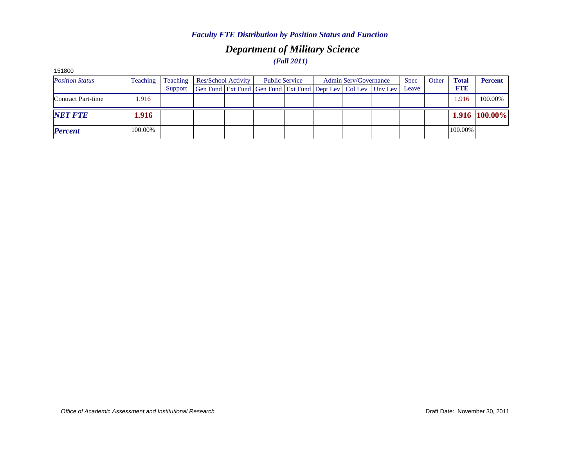### *Department of Military Science (Fall 2011)*

| 191000                 |          |          |                                                              |                       |  |                              |             |       |              |                |
|------------------------|----------|----------|--------------------------------------------------------------|-----------------------|--|------------------------------|-------------|-------|--------------|----------------|
| <b>Position Status</b> | Teaching | Teaching | <b>Res/School Activity</b>                                   | <b>Public Service</b> |  | <b>Admin Serv/Governance</b> | <b>Spec</b> | Other | <b>Total</b> | <b>Percent</b> |
|                        |          | Support  | Gen Fund Ext Fund Gen Fund Ext Fund Dept Lev Col Lev Unv Lev |                       |  |                              | Leave       |       | <b>FTE</b>   |                |
| Contract Part-time     | 1.916    |          |                                                              |                       |  |                              |             |       | 1.916        | 100.00%        |
| <b>NET FTE</b>         | 1.916    |          |                                                              |                       |  |                              |             |       |              | 1.916 100.00%  |
| <b>Percent</b>         | 100.00%  |          |                                                              |                       |  |                              |             |       | 100.00%      |                |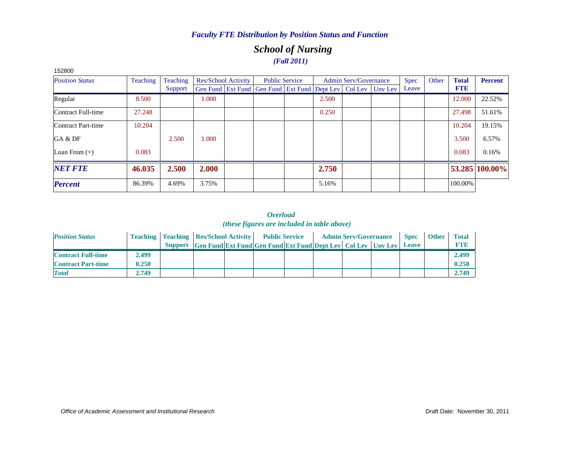### *School of Nursing (Fall 2011)*

| 152800                 |                 |          |       |                     |                                                                          |       |                              |       |       |              |                |
|------------------------|-----------------|----------|-------|---------------------|--------------------------------------------------------------------------|-------|------------------------------|-------|-------|--------------|----------------|
| <b>Position Status</b> | <b>Teaching</b> | Teaching |       | Res/School Activity | <b>Public Service</b>                                                    |       | <b>Admin Serv/Governance</b> | Spec  | Other | <b>Total</b> | <b>Percent</b> |
|                        |                 | Support  |       |                     | Gen Fund   Ext Fund   Gen Fund   Ext Fund   Dept Lev   Col Lev   Unv Lev |       |                              | Leave |       | <b>FTE</b>   |                |
| Regular                | 8.500           |          | 1.000 |                     |                                                                          | 2.500 |                              |       |       | 12.000       | 22.52%         |
| Contract Full-time     | 27.248          |          |       |                     |                                                                          | 0.250 |                              |       |       | 27.498       | 51.61%         |
| Contract Part-time     | 10.204          |          |       |                     |                                                                          |       |                              |       |       | 10.204       | 19.15%         |
| GA & DF                |                 | 2.500    | 1.000 |                     |                                                                          |       |                              |       |       | 3.500        | 6.57%          |
| Loan From $(+)$        | 0.083           |          |       |                     |                                                                          |       |                              |       |       | 0.083        | 0.16%          |
| <b>NET FTE</b>         | 46.035          | 2.500    | 2.000 |                     |                                                                          | 2.750 |                              |       |       |              | 53.285 100.00% |
| <b>Percent</b>         | 86.39%          | 4.69%    | 3.75% |                     |                                                                          | 5.16% |                              |       |       | 100.00%      |                |

| <b>Position Status</b>    |       | <b>Teaching   Teaching   Res/School Activity   Public Service</b> |                                                                            |  |  | <b>Admin Serv/Governance</b> | <b>Spec</b> | <b>Other</b> | <b>Total</b> |
|---------------------------|-------|-------------------------------------------------------------------|----------------------------------------------------------------------------|--|--|------------------------------|-------------|--------------|--------------|
|                           |       |                                                                   | Support Gen Fund Ext Fund Gen Fund Ext Fund Dept Lev Col Lev Unv Lev Leave |  |  |                              |             |              | <b>FTE</b>   |
| <b>Contract Full-time</b> | 2.499 |                                                                   |                                                                            |  |  |                              |             |              | 2.499        |
| <b>Contract Part-time</b> | 0.250 |                                                                   |                                                                            |  |  |                              |             |              | 0.250        |
| <b>Total</b>              | 2.749 |                                                                   |                                                                            |  |  |                              |             |              | 2.749        |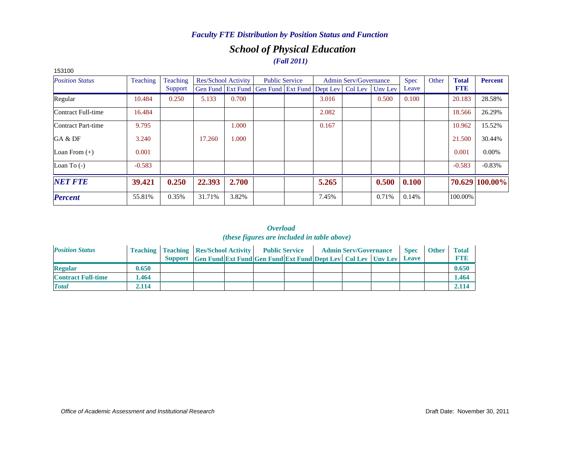### *School of Physical Education (Fall 2011)*

| 153100                 |          |          |        |                     |                                                                |       |                              |         |             |       |              |                |
|------------------------|----------|----------|--------|---------------------|----------------------------------------------------------------|-------|------------------------------|---------|-------------|-------|--------------|----------------|
| <b>Position Status</b> | Teaching | Teaching |        | Res/School Activity | <b>Public Service</b>                                          |       | <b>Admin Serv/Governance</b> |         | <b>Spec</b> | Other | <b>Total</b> | <b>Percent</b> |
|                        |          | Support  |        |                     | Gen Fund   Ext Fund   Gen Fund   Ext Fund   Dept Lev   Col Lev |       |                              | Uny Lev | Leave       |       | <b>FTE</b>   |                |
| Regular                | 10.484   | 0.250    | 5.133  | 0.700               |                                                                | 3.016 |                              | 0.500   | 0.100       |       | 20.183       | 28.58%         |
| Contract Full-time     | 16.484   |          |        |                     |                                                                | 2.082 |                              |         |             |       | 18.566       | 26.29%         |
| Contract Part-time     | 9.795    |          |        | 1.000               |                                                                | 0.167 |                              |         |             |       | 10.962       | 15.52%         |
| GA & DF                | 3.240    |          | 17.260 | 1.000               |                                                                |       |                              |         |             |       | 21.500       | 30.44%         |
| Loan From $(+)$        | 0.001    |          |        |                     |                                                                |       |                              |         |             |       | 0.001        | $0.00\%$       |
| Loan To $(-)$          | $-0.583$ |          |        |                     |                                                                |       |                              |         |             |       | $-0.583$     | $-0.83%$       |
| <b>NET FTE</b>         | 39.421   | 0.250    | 22.393 | 2.700               |                                                                | 5.265 |                              | 0.500   | 0.100       |       |              | 70.629 100.00% |
| <b>Percent</b>         | 55.81%   | 0.35%    | 31.71% | 3.82%               |                                                                | 7.45% |                              | 0.71%   | 0.14%       |       | 100.00%      |                |

| <b>Position Status</b>    |       | <b>Teaching   Teaching   Res/School Activity   Public Service</b> |                                                                      |  |  | <b>Admin Serv/Governance</b> | <b>Spec</b>  | <b>Other</b> | Total       |
|---------------------------|-------|-------------------------------------------------------------------|----------------------------------------------------------------------|--|--|------------------------------|--------------|--------------|-------------|
|                           |       |                                                                   | Support Gen Fund Ext Fund Gen Fund Ext Fund Dept Lev Col Lev Unv Lev |  |  |                              | <b>Leave</b> |              | <b>FTI3</b> |
| <b>Regular</b>            | 0.650 |                                                                   |                                                                      |  |  |                              |              |              | 0.650       |
| <b>Contract Full-time</b> | .464  |                                                                   |                                                                      |  |  |                              |              |              | 1.464       |
| <b>Total</b>              | 2.114 |                                                                   |                                                                      |  |  |                              |              |              | 2.114       |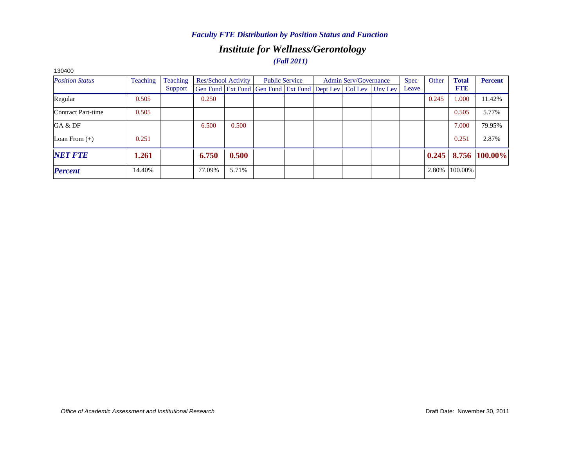### *Institute for Wellness/Gerontology (Fall 2011)*

| 130400                 |          |                 |        |                     |                                                                          |  |                              |             |       |              |                |
|------------------------|----------|-----------------|--------|---------------------|--------------------------------------------------------------------------|--|------------------------------|-------------|-------|--------------|----------------|
| <b>Position Status</b> | Teaching | <b>Teaching</b> |        | Res/School Activity | <b>Public Service</b>                                                    |  | <b>Admin Serv/Governance</b> | <b>Spec</b> | Other | <b>Total</b> | <b>Percent</b> |
|                        |          | Support         |        |                     | Gen Fund   Ext Fund   Gen Fund   Ext Fund   Dept Lev   Col Lev   Unv Lev |  |                              | Leave       |       | <b>FTE</b>   |                |
| Regular                | 0.505    |                 | 0.250  |                     |                                                                          |  |                              |             | 0.245 | 1.000        | 11.42%         |
| Contract Part-time     | 0.505    |                 |        |                     |                                                                          |  |                              |             |       | 0.505        | 5.77%          |
| GA & DF                |          |                 | 6.500  | 0.500               |                                                                          |  |                              |             |       | 7.000        | 79.95%         |
| Loan From $(+)$        | 0.251    |                 |        |                     |                                                                          |  |                              |             |       | 0.251        | 2.87%          |
| <b>NET FTE</b>         | 1.261    |                 | 6.750  | 0.500               |                                                                          |  |                              |             | 0.245 |              | 8.756 100.00%  |
| <b>Percent</b>         | 14.40%   |                 | 77.09% | 5.71%               |                                                                          |  |                              |             | 2.80% | 100.00%      |                |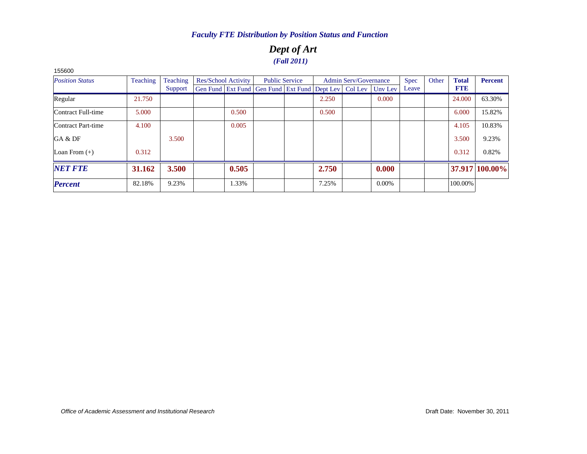### *Dept of Art (Fall 2011)*

| <b>Position Status</b> | Teaching | Teaching | Res/School Activity                                            |       | <b>Public Service</b> |       | <b>Admin Serv/Governance</b> |         | <b>Spec</b> | Other | <b>Total</b> | <b>Percent</b> |
|------------------------|----------|----------|----------------------------------------------------------------|-------|-----------------------|-------|------------------------------|---------|-------------|-------|--------------|----------------|
|                        |          | Support  | Gen Fund   Ext Fund   Gen Fund   Ext Fund   Dept Lev   Col Lev |       |                       |       |                              | Uny Lev | Leave       |       | <b>FTE</b>   |                |
| Regular                | 21.750   |          |                                                                |       |                       | 2.250 |                              | 0.000   |             |       | 24.000       | 63.30%         |
| Contract Full-time     | 5.000    |          |                                                                | 0.500 |                       | 0.500 |                              |         |             |       | 6.000        | 15.82%         |
| Contract Part-time     | 4.100    |          |                                                                | 0.005 |                       |       |                              |         |             |       | 4.105        | 10.83%         |
| GA & DF                |          | 3.500    |                                                                |       |                       |       |                              |         |             |       | 3.500        | 9.23%          |
| Loan From $(+)$        | 0.312    |          |                                                                |       |                       |       |                              |         |             |       | 0.312        | 0.82%          |
| <b>NET FTE</b>         | 31.162   | 3.500    |                                                                | 0.505 |                       | 2.750 |                              | 0.000   |             |       |              | 37.917 100.00% |
| <b>Percent</b>         | 82.18%   | 9.23%    |                                                                | 1.33% |                       | 7.25% |                              | 0.00%   |             |       | 100.00%      |                |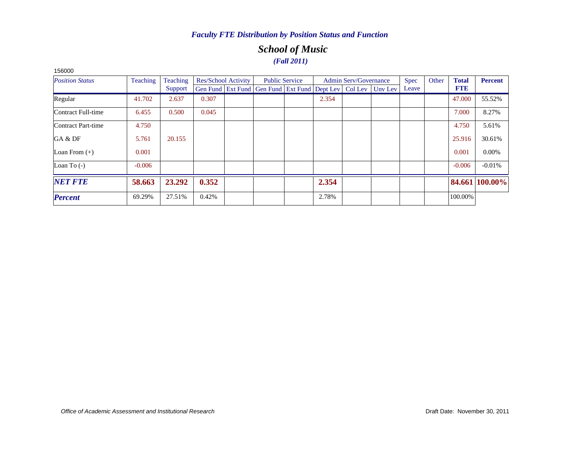### *School of Music (Fall 2011)*

| <b>Position Status</b> | <b>Teaching</b> | Teaching |       | <b>Res/School Activity</b> |                                                                | <b>Public Service</b> |       | Admin Serv/Governance |         | <b>Spec</b> | Other | <b>Total</b> | <b>Percent</b> |
|------------------------|-----------------|----------|-------|----------------------------|----------------------------------------------------------------|-----------------------|-------|-----------------------|---------|-------------|-------|--------------|----------------|
|                        |                 | Support  |       |                            | Gen Fund   Ext Fund   Gen Fund   Ext Fund   Dept Lev   Col Lev |                       |       |                       | Unv Lev | Leave       |       | <b>FTE</b>   |                |
| Regular                | 41.702          | 2.637    | 0.307 |                            |                                                                |                       | 2.354 |                       |         |             |       | 47.000       | 55.52%         |
| Contract Full-time     | 6.455           | 0.500    | 0.045 |                            |                                                                |                       |       |                       |         |             |       | 7.000        | 8.27%          |
| Contract Part-time     | 4.750           |          |       |                            |                                                                |                       |       |                       |         |             |       | 4.750        | 5.61%          |
| GA & DF                | 5.761           | 20.155   |       |                            |                                                                |                       |       |                       |         |             |       | 25.916       | 30.61%         |
| Loan From $(+)$        | 0.001           |          |       |                            |                                                                |                       |       |                       |         |             |       | 0.001        | $0.00\%$       |
| Loan To $(-)$          | $-0.006$        |          |       |                            |                                                                |                       |       |                       |         |             |       | $-0.006$     | $-0.01%$       |
| <b>NET FTE</b>         | 58.663          | 23.292   | 0.352 |                            |                                                                |                       | 2.354 |                       |         |             |       |              | 84.661 100.00% |
| <b>Percent</b>         | 69.29%          | 27.51%   | 0.42% |                            |                                                                |                       | 2.78% |                       |         |             |       | 100.00%      |                |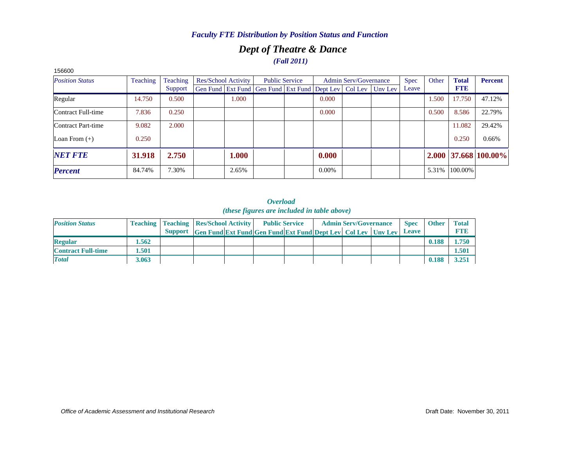### *Dept of Theatre & Dance (Fall 2011)*

| 156600                 |                 |          |                            |                                                                          |                       |          |                       |             |       |              |                        |
|------------------------|-----------------|----------|----------------------------|--------------------------------------------------------------------------|-----------------------|----------|-----------------------|-------------|-------|--------------|------------------------|
| <b>Position Status</b> | <b>Teaching</b> | Teaching | <b>Res/School Activity</b> |                                                                          | <b>Public Service</b> |          | Admin Serv/Governance | <b>Spec</b> | Other | <b>Total</b> | <b>Percent</b>         |
|                        |                 | Support  |                            | Gen Fund   Ext Fund   Gen Fund   Ext Fund   Dept Lev   Col Lev   Unv Lev |                       |          |                       | Leave       |       | <b>FTE</b>   |                        |
| Regular                | 14.750          | 0.500    | 1.000                      |                                                                          |                       | 0.000    |                       |             | 1.500 | 17.750       | 47.12%                 |
| Contract Full-time     | 7.836           | 0.250    |                            |                                                                          |                       | 0.000    |                       |             | 0.500 | 8.586        | 22.79%                 |
| Contract Part-time     | 9.082           | 2.000    |                            |                                                                          |                       |          |                       |             |       | 11.082       | 29.42%                 |
| Loan From $(+)$        | 0.250           |          |                            |                                                                          |                       |          |                       |             |       | 0.250        | 0.66%                  |
| <b>NET FTE</b>         | 31.918          | 2.750    | 1.000                      |                                                                          |                       | 0.000    |                       |             |       |              | $2.000$ 37.668 100.00% |
| <b>Percent</b>         | 84.74%          | 7.30%    | 2.65%                      |                                                                          |                       | $0.00\%$ |                       |             | 5.31% | 100.00%      |                        |

| <b>Position Status</b>    |       | <b>Teaching   Teaching   Res/School Activity  </b> |                                                                            | <b>Public Service</b> |  | <b>Admin Serv/Governance</b> | <b>Spec</b> | <b>Other</b> | <b>Total</b> |
|---------------------------|-------|----------------------------------------------------|----------------------------------------------------------------------------|-----------------------|--|------------------------------|-------------|--------------|--------------|
|                           |       |                                                    | Support Gen Fund Ext Fund Gen Fund Ext Fund Dept Lev Col Lev Unv Lev Leave |                       |  |                              |             |              |              |
| <b>Regular</b>            | 1.562 |                                                    |                                                                            |                       |  |                              |             | 0.188        | 1.750        |
| <b>Contract Full-time</b> | 501   |                                                    |                                                                            |                       |  |                              |             |              | 1.501        |
| <b>Total</b>              | 3.063 |                                                    |                                                                            |                       |  |                              |             | 0.188        | 3.251        |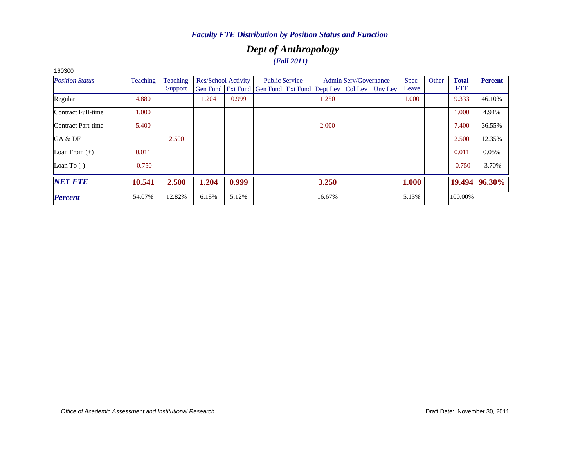### *Dept of Anthropology (Fall 2011)*

| <b>Position Status</b> | <b>Teaching</b> | Teaching |       | <b>Res/School Activity</b> |                                                                          | <b>Public Service</b> |        | <b>Admin Serv/Governance</b> | <b>Spec</b> | Other | <b>Total</b> | <b>Percent</b> |
|------------------------|-----------------|----------|-------|----------------------------|--------------------------------------------------------------------------|-----------------------|--------|------------------------------|-------------|-------|--------------|----------------|
|                        |                 | Support  |       |                            | Gen Fund   Ext Fund   Gen Fund   Ext Fund   Dept Lev   Col Lev   Unv Lev |                       |        |                              | Leave       |       | <b>FTE</b>   |                |
| Regular                | 4.880           |          | 1.204 | 0.999                      |                                                                          |                       | 1.250  |                              | 1.000       |       | 9.333        | 46.10%         |
| Contract Full-time     | 1.000           |          |       |                            |                                                                          |                       |        |                              |             |       | 1.000        | 4.94%          |
| Contract Part-time     | 5.400           |          |       |                            |                                                                          |                       | 2.000  |                              |             |       | 7.400        | 36.55%         |
| GA & DF                |                 | 2.500    |       |                            |                                                                          |                       |        |                              |             |       | 2.500        | 12.35%         |
| Loan From $(+)$        | 0.011           |          |       |                            |                                                                          |                       |        |                              |             |       | 0.011        | 0.05%          |
| Loan To $(-)$          | $-0.750$        |          |       |                            |                                                                          |                       |        |                              |             |       | $-0.750$     | $-3.70\%$      |
| <b>NET FTE</b>         | 10.541          | 2.500    | 1.204 | 0.999                      |                                                                          |                       | 3.250  |                              | 1.000       |       | 19.494       | 96.30%         |
| <b>Percent</b>         | 54.07%          | 12.82%   | 6.18% | 5.12%                      |                                                                          |                       | 16.67% |                              | 5.13%       |       | 100.00%      |                |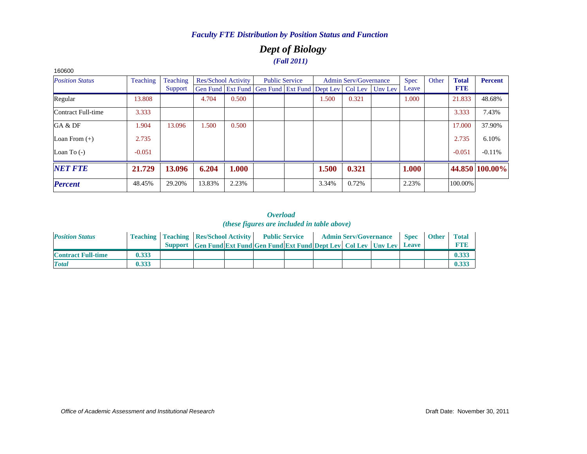### *Dept of Biology (Fall 2011)*

| <b>Position Status</b> | Teaching | Teaching |        | Res/School Activity |                                                                          | <b>Public Service</b> |       | <b>Admin Serv/Governance</b> | <b>Spec</b> | Other | <b>Total</b> | <b>Percent</b> |
|------------------------|----------|----------|--------|---------------------|--------------------------------------------------------------------------|-----------------------|-------|------------------------------|-------------|-------|--------------|----------------|
|                        |          | Support  |        |                     | Gen Fund   Ext Fund   Gen Fund   Ext Fund   Dept Lev   Col Lev   Unv Lev |                       |       |                              | Leave       |       | <b>FTE</b>   |                |
| Regular                | 13.808   |          | 4.704  | 0.500               |                                                                          |                       | 1.500 | 0.321                        | 1.000       |       | 21.833       | 48.68%         |
| Contract Full-time     | 3.333    |          |        |                     |                                                                          |                       |       |                              |             |       | 3.333        | 7.43%          |
| GA & DF                | 1.904    | 13.096   | 1.500  | 0.500               |                                                                          |                       |       |                              |             |       | 17.000       | 37.90%         |
| Loan From $(+)$        | 2.735    |          |        |                     |                                                                          |                       |       |                              |             |       | 2.735        | 6.10%          |
| Loan To $(-)$          | $-0.051$ |          |        |                     |                                                                          |                       |       |                              |             |       | $-0.051$     | $-0.11%$       |
| <b>NET FTE</b>         | 21.729   | 13.096   | 6.204  | 1.000               |                                                                          |                       | 1.500 | 0.321                        | 1.000       |       |              | 44.850 100.00% |
| <b>Percent</b>         | 48.45%   | 29.20%   | 13.83% | 2.23%               |                                                                          |                       | 3.34% | 0.72%                        | 2.23%       |       | 100.00%      |                |

#### *Overload (these figures are included in table above)*

| <b>Position Status</b>    |       | <b>Teaching   Teaching   Res/School Activity   Public Service</b> |                                                                            |  |  | <b>Admin Serv/Governance</b> | <b>Spec</b> | <b>Other</b> | <b>Total</b> |
|---------------------------|-------|-------------------------------------------------------------------|----------------------------------------------------------------------------|--|--|------------------------------|-------------|--------------|--------------|
|                           |       |                                                                   | Support Gen Fund Ext Fund Gen Fund Ext Fund Dept Lev Col Lev Unv Lev Leave |  |  |                              |             |              |              |
| <b>Contract Full-time</b> | 0.333 |                                                                   |                                                                            |  |  |                              |             |              | 0.33         |
| <b>Total</b>              | 0.333 |                                                                   |                                                                            |  |  |                              |             |              | 0.33         |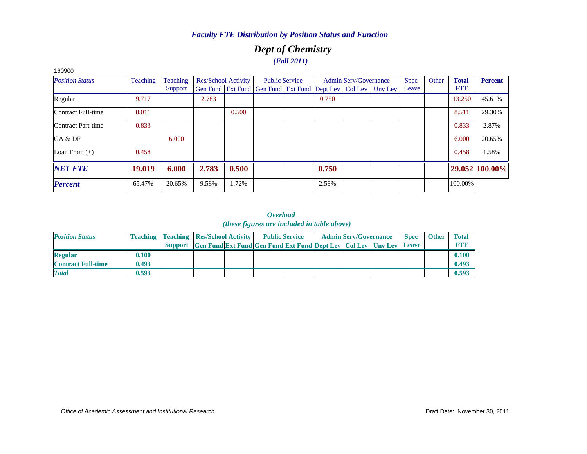### *Dept of Chemistry (Fall 2011)*

| ,,,,,,,                |                 |          |                                                                  |                       |       |                              |             |       |              |                |
|------------------------|-----------------|----------|------------------------------------------------------------------|-----------------------|-------|------------------------------|-------------|-------|--------------|----------------|
| <b>Position Status</b> | <b>Teaching</b> | Teaching | Res/School Activity                                              | <b>Public Service</b> |       | <b>Admin Serv/Governance</b> | <b>Spec</b> | Other | <b>Total</b> | <b>Percent</b> |
|                        |                 | Support  | Gen Fund Ext Fund Gen Fund Ext Fund Dept Lev   Col Lev   Unv Lev |                       |       |                              | Leave       |       | <b>FTE</b>   |                |
| Regular                | 9.717           |          | 2.783                                                            |                       | 0.750 |                              |             |       | 13.250       | 45.61%         |
| Contract Full-time     | 8.011           |          | 0.500                                                            |                       |       |                              |             |       | 8.511        | 29.30%         |
| Contract Part-time     | 0.833           |          |                                                                  |                       |       |                              |             |       | 0.833        | 2.87%          |
| GA & DF                |                 | 6.000    |                                                                  |                       |       |                              |             |       | 6.000        | 20.65%         |
| Loan From $(+)$        | 0.458           |          |                                                                  |                       |       |                              |             |       | 0.458        | 1.58%          |
| <b>NET FTE</b>         | 19.019          | 6.000    | 0.500<br>2.783                                                   |                       | 0.750 |                              |             |       |              | 29.052 100.00% |
| <b>Percent</b>         | 65.47%          | 20.65%   | 1.72%<br>9.58%                                                   |                       | 2.58% |                              |             |       | 100.00%      |                |
|                        |                 |          |                                                                  |                       |       |                              |             |       |              |                |

#### *Overload (these figures are included in table above)*

| <b>Position Status</b>    |       | <b>Teaching   Teaching   Res/School Activity   Public Service</b> |                                                                      |  |  | <b>Admin Serv/Governance</b> | <b>Spec</b> | <b>Other</b> | <b>Total</b> |
|---------------------------|-------|-------------------------------------------------------------------|----------------------------------------------------------------------|--|--|------------------------------|-------------|--------------|--------------|
|                           |       |                                                                   | Support Gen Fund Ext Fund Gen Fund Ext Fund Dept Lev Col Lev Unv Lev |  |  |                              | Leave       |              | <b>FTE</b>   |
| <b>Regular</b>            | 0.100 |                                                                   |                                                                      |  |  |                              |             |              | 0.100        |
| <b>Contract Full-time</b> | 0.493 |                                                                   |                                                                      |  |  |                              |             |              | 0.493        |
| <b>Total</b>              | 0.593 |                                                                   |                                                                      |  |  |                              |             |              | 0.593        |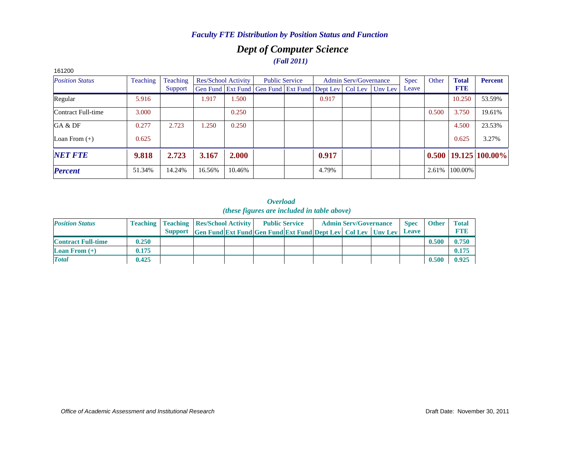### *Dept of Computer Science (Fall 2011)*

| 161200                 |                 |          |        |                            |                                                      |       |                              |         |       |       |               |                            |
|------------------------|-----------------|----------|--------|----------------------------|------------------------------------------------------|-------|------------------------------|---------|-------|-------|---------------|----------------------------|
| <b>Position Status</b> | <b>Teaching</b> | Teaching |        | <b>Res/School Activity</b> | <b>Public Service</b>                                |       | <b>Admin Serv/Governance</b> |         | Spec  | Other | <b>Total</b>  | <b>Percent</b>             |
|                        |                 | Support  |        |                            | Gen Fund   Ext Fund   Gen Fund   Ext Fund   Dept Lev |       | Col Lev                      | Unv Lev | Leave |       | <b>FTE</b>    |                            |
| Regular                | 5.916           |          | 1.917  | 1.500                      |                                                      | 0.917 |                              |         |       |       | 10.250        | 53.59%                     |
| Contract Full-time     | 3.000           |          |        | 0.250                      |                                                      |       |                              |         |       | 0.500 | 3.750         | 19.61%                     |
| GA & DF                | 0.277           | 2.723    | .250   | 0.250                      |                                                      |       |                              |         |       |       | 4.500         | 23.53%                     |
| Loan From $(+)$        | 0.625           |          |        |                            |                                                      |       |                              |         |       |       | 0.625         | 3.27%                      |
| <b>NET FTE</b>         | 9.818           | 2.723    | 3.167  | 2.000                      |                                                      | 0.917 |                              |         |       |       |               | $0.500$   19.125   100.00% |
| <b>Percent</b>         | 51.34%          | 14.24%   | 16.56% | 10.46%                     |                                                      | 4.79% |                              |         |       |       | 2.61% 100.00% |                            |

#### *Overload (these figures are included in table above)*

| <b>Position Status</b>    |       | <b>Teaching   Teaching   Res/School Activity  </b> |                                                                      | <b>Public Service</b> |  | <b>Admin Serv/Governance</b> | <b>Spec</b>  | <b>Other</b> | <b>Total</b> |
|---------------------------|-------|----------------------------------------------------|----------------------------------------------------------------------|-----------------------|--|------------------------------|--------------|--------------|--------------|
|                           |       |                                                    | Support Gen Fund Ext Fund Gen Fund Ext Fund Dept Lev Col Lev Unv Lev |                       |  |                              | <b>Leave</b> |              | <b>RTIB</b>  |
| <b>Contract Full-time</b> | 0.250 |                                                    |                                                                      |                       |  |                              |              | 0.500        | 0.750        |
| <b>Loan From</b> $(+)$    | 0.175 |                                                    |                                                                      |                       |  |                              |              |              | 0.175        |
| <b>Total</b>              | 0.425 |                                                    |                                                                      |                       |  |                              |              | 0.500        | 0.925        |

#### *Office of Academic Assessment and Institutional Research*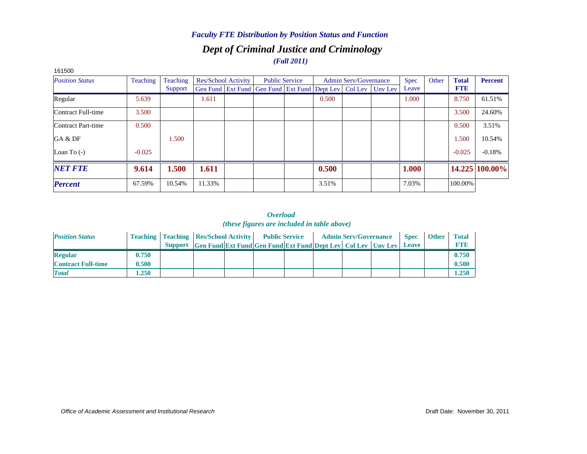### *Dept of Criminal Justice and Criminology (Fall 2011) Faculty FTE Distribution by Position Status and Function*

| <b>Position Status</b> | Teaching | Teaching |        | Res/School Activity |                                                                          | <b>Public Service</b> |       | <b>Admin Serv/Governance</b> | <b>Spec</b> | Other | <b>Total</b> | <b>Percent</b> |
|------------------------|----------|----------|--------|---------------------|--------------------------------------------------------------------------|-----------------------|-------|------------------------------|-------------|-------|--------------|----------------|
|                        |          | Support  |        |                     | Gen Fund   Ext Fund   Gen Fund   Ext Fund   Dept Lev   Col Lev   Unv Lev |                       |       |                              | Leave       |       | <b>FTE</b>   |                |
| Regular                | 5.639    |          | 1.611  |                     |                                                                          |                       | 0.500 |                              | 1.000       |       | 8.750        | 61.51%         |
| Contract Full-time     | 3.500    |          |        |                     |                                                                          |                       |       |                              |             |       | 3.500        | 24.60%         |
| Contract Part-time     | 0.500    |          |        |                     |                                                                          |                       |       |                              |             |       | 0.500        | 3.51%          |
| GA & DF                |          | 1.500    |        |                     |                                                                          |                       |       |                              |             |       | 1.500        | 10.54%         |
| Loan To $(-)$          | $-0.025$ |          |        |                     |                                                                          |                       |       |                              |             |       | $-0.025$     | $-0.18%$       |
| <b>NET FTE</b>         | 9.614    | 1.500    | 1.611  |                     |                                                                          |                       | 0.500 |                              | 1.000       |       |              | 14.225 100.00% |
| <b>Percent</b>         | 67.59%   | 10.54%   | 11.33% |                     |                                                                          |                       | 3.51% |                              | 7.03%       |       | 100.00%      |                |

#### 161500

| <b>Position Status</b>    |       | <b>Teaching   Teaching   Res/School Activity   Public Service</b> |                                                                      |  | <b>Admin Serv/Governance</b> |  | Spec         | <b>Other</b> | <b>Total</b> |
|---------------------------|-------|-------------------------------------------------------------------|----------------------------------------------------------------------|--|------------------------------|--|--------------|--------------|--------------|
|                           |       |                                                                   | Support Gen Fund Ext Fund Gen Fund Ext Fund Dept Lev Col Lev Unv Lev |  |                              |  | <b>Leave</b> |              | FTF          |
| <b>Regular</b>            | 0.750 |                                                                   |                                                                      |  |                              |  |              |              | 0.750        |
| <b>Contract Full-time</b> | 0.500 |                                                                   |                                                                      |  |                              |  |              |              | 0.500        |
| <b>Total</b>              | .250  |                                                                   |                                                                      |  |                              |  |              |              | 1.250        |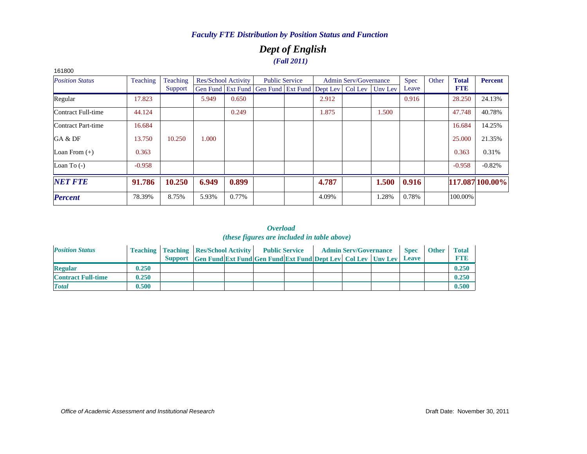### *Dept of English (Fall 2011)*

| 161800                 |          |          |       |                            |                                                      |                       |       |                              |         |             |       |              |                 |
|------------------------|----------|----------|-------|----------------------------|------------------------------------------------------|-----------------------|-------|------------------------------|---------|-------------|-------|--------------|-----------------|
| <b>Position Status</b> | Teaching | Teaching |       | <b>Res/School Activity</b> |                                                      | <b>Public Service</b> |       | <b>Admin Serv/Governance</b> |         | <b>Spec</b> | Other | <b>Total</b> | <b>Percent</b>  |
|                        |          | Support  |       |                            | Gen Fund Ext Fund Gen Fund Ext Fund Dept Lev Col Lev |                       |       |                              | Uny Lev | Leave       |       | <b>FTE</b>   |                 |
| Regular                | 17.823   |          | 5.949 | 0.650                      |                                                      |                       | 2.912 |                              |         | 0.916       |       | 28.250       | 24.13%          |
| Contract Full-time     | 44.124   |          |       | 0.249                      |                                                      |                       | 1.875 |                              | 1.500   |             |       | 47.748       | 40.78%          |
| Contract Part-time     | 16.684   |          |       |                            |                                                      |                       |       |                              |         |             |       | 16.684       | 14.25%          |
| GA & DF                | 13.750   | 10.250   | 000.1 |                            |                                                      |                       |       |                              |         |             |       | 25,000       | 21.35%          |
| Loan From $(+)$        | 0.363    |          |       |                            |                                                      |                       |       |                              |         |             |       | 0.363        | 0.31%           |
| Loan To $(-)$          | $-0.958$ |          |       |                            |                                                      |                       |       |                              |         |             |       | $-0.958$     | $-0.82%$        |
| <b>NET FTE</b>         | 91.786   | 10.250   | 6.949 | 0.899                      |                                                      |                       | 4.787 |                              | 1.500   | 0.916       |       |              | 117.087 100.00% |
| <b>Percent</b>         | 78.39%   | 8.75%    | 5.93% | 0.77%                      |                                                      |                       | 4.09% |                              | 1.28%   | 0.78%       |       | 100.00%      |                 |

| <b>Position Status</b>    |       | <b>Teaching   Teaching   Res/School Activity   Public Service</b> |                                                                      |  |  | <b>Admin Serv/Governance</b> | <b>Spec</b>  | <b>Other</b> | Total       |
|---------------------------|-------|-------------------------------------------------------------------|----------------------------------------------------------------------|--|--|------------------------------|--------------|--------------|-------------|
|                           |       |                                                                   | Support Gen Fund Ext Fund Gen Fund Ext Fund Dept Lev Col Lev Unv Lev |  |  |                              | <b>Leave</b> |              | <b>FTI3</b> |
| <b>Regular</b>            | 0.250 |                                                                   |                                                                      |  |  |                              |              |              | 0.250       |
| <b>Contract Full-time</b> | 0.250 |                                                                   |                                                                      |  |  |                              |              |              | 0.250       |
| <b>Total</b>              | 0.500 |                                                                   |                                                                      |  |  |                              |              |              | 0.500       |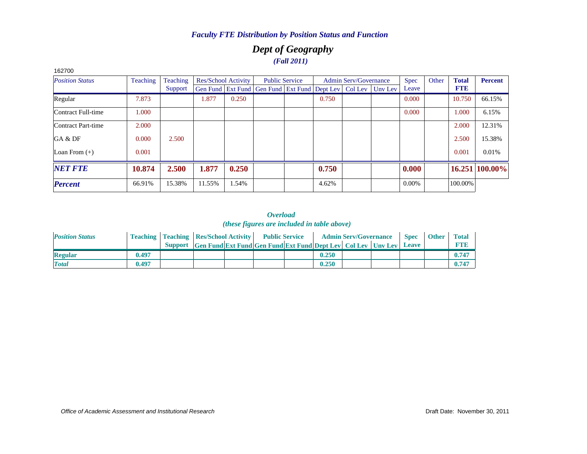### *Dept of Geography (Fall 2011)*

| 162700                 |          |          |        |                            |                                                                  |                       |       |                              |             |       |              |                |
|------------------------|----------|----------|--------|----------------------------|------------------------------------------------------------------|-----------------------|-------|------------------------------|-------------|-------|--------------|----------------|
| <b>Position Status</b> | Teaching | Teaching |        | <b>Res/School Activity</b> |                                                                  | <b>Public Service</b> |       | <b>Admin Serv/Governance</b> | <b>Spec</b> | Other | <b>Total</b> | <b>Percent</b> |
|                        |          | Support  |        |                            | Gen Fund Ext Fund Gen Fund Ext Fund Dept Lev   Col Lev   Unv Lev |                       |       |                              | Leave       |       | <b>FTE</b>   |                |
| Regular                | 7.873    |          | 1.877  | 0.250                      |                                                                  |                       | 0.750 |                              | 0.000       |       | 10.750       | 66.15%         |
| Contract Full-time     | 1.000    |          |        |                            |                                                                  |                       |       |                              | 0.000       |       | 1.000        | 6.15%          |
| Contract Part-time     | 2.000    |          |        |                            |                                                                  |                       |       |                              |             |       | 2.000        | 12.31%         |
| GA & DF                | 0.000    | 2.500    |        |                            |                                                                  |                       |       |                              |             |       | 2.500        | 15.38%         |
| Loan From $(+)$        | 0.001    |          |        |                            |                                                                  |                       |       |                              |             |       | 0.001        | 0.01%          |
| <b>NET FTE</b>         | 10.874   | 2.500    | 1.877  | 0.250                      |                                                                  |                       | 0.750 |                              | 0.000       |       |              | 16.251 100.00% |
| <b>Percent</b>         | 66.91%   | 15.38%   | 11.55% | 1.54%                      |                                                                  |                       | 4.62% |                              | $0.00\%$    |       | 100.00%      |                |

#### *Overload (these figures are included in table above)*

| <b>Position Status</b> |       | <b>Teaching   Teaching   Res/School Activity   Public Service</b>          |  |       | <b>Admin Serv/Governance</b> | <b>Spec</b> | <b>Other</b> | <b>Total</b> |
|------------------------|-------|----------------------------------------------------------------------------|--|-------|------------------------------|-------------|--------------|--------------|
|                        |       | Support Gen Fund Ext Fund Gen Fund Ext Fund Dept Lev Col Lev Unv Lev Leave |  |       |                              |             |              | <b>FTR</b>   |
| <b>Regular</b>         | 0.497 |                                                                            |  | 0.250 |                              |             |              | $0.74^{2}$   |
| <b>Total</b>           | 0.497 |                                                                            |  | 0.250 |                              |             |              | $0.74^{2}$   |

#### *Office of Academic Assessment and Institutional Research*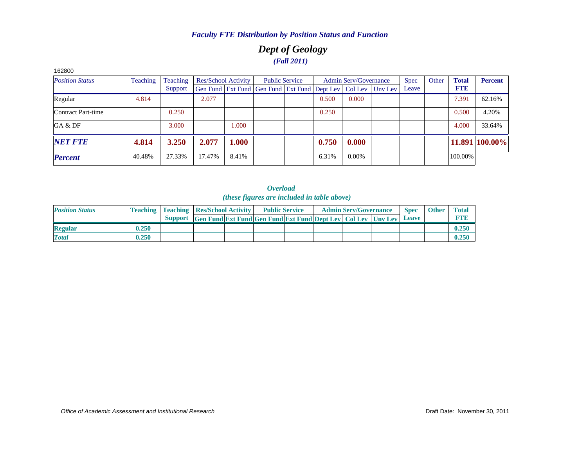### *Dept of Geology (Fall 2011)*

| 162800                 |          |          |        |                     |                                                                |       |                              |         |             |       |              |                |
|------------------------|----------|----------|--------|---------------------|----------------------------------------------------------------|-------|------------------------------|---------|-------------|-------|--------------|----------------|
| <b>Position Status</b> | Teaching | Teaching |        | Res/School Activity | <b>Public Service</b>                                          |       | <b>Admin Serv/Governance</b> |         | <b>Spec</b> | Other | <b>Total</b> | <b>Percent</b> |
|                        |          | Support  |        |                     | Gen Fund   Ext Fund   Gen Fund   Ext Fund   Dept Lev   Col Lev |       |                              | Unv Lev | Leave       |       | <b>FTE</b>   |                |
| Regular                | 4.814    |          | 2.077  |                     |                                                                | 0.500 | 0.000                        |         |             |       | 7.391        | 62.16%         |
| Contract Part-time     |          | 0.250    |        |                     |                                                                | 0.250 |                              |         |             |       | 0.500        | 4.20%          |
| GA & DF                |          | 3.000    |        | 1.000               |                                                                |       |                              |         |             |       | 4.000        | 33.64%         |
| <b>NET FTE</b>         | 4.814    | 3.250    | 2.077  | 1.000               |                                                                | 0.750 | 0.000                        |         |             |       |              | 11.891 100.00% |
| <b>Percent</b>         | 40.48%   | 27.33%   | 17.47% | 8.41%               |                                                                | 6.31% | $0.00\%$                     |         |             |       | 100.00%      |                |

| <b>Position Status</b> |       | <b>Teaching   Teaching   Res/School Activity  </b> |                                                                              | <b>Public Service</b> |  | <b>Admin Serv/Governance</b> | <b>Spec</b> | <b>Other</b> | <b>Total</b> |
|------------------------|-------|----------------------------------------------------|------------------------------------------------------------------------------|-----------------------|--|------------------------------|-------------|--------------|--------------|
|                        |       | <b>Support</b>                                     | <b>Solution</b> Fund Ext Fund Gen Fund Ext Fund Dept Lev   Col Lev   Uny Lev |                       |  |                              | Leave       |              | <b>FTE</b>   |
| <b>Regular</b>         | 0.250 |                                                    |                                                                              |                       |  |                              |             |              | 0.250        |
| <b>Total</b>           | 0.250 |                                                    |                                                                              |                       |  |                              |             |              | 0.250        |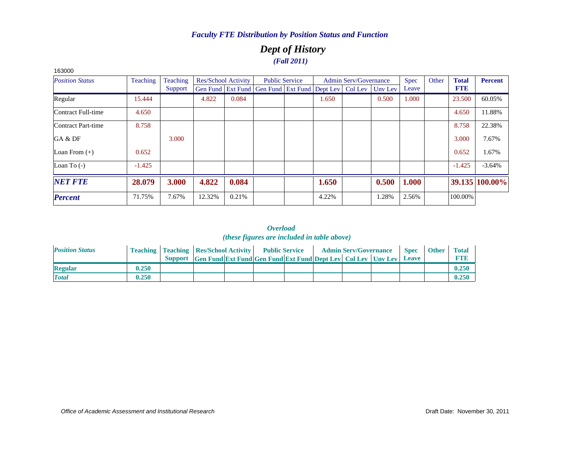### *Dept of History (Fall 2011)*

| 163000                 |          |          |        |                            |                                                                |                       |       |                              |         |             |       |              |                |
|------------------------|----------|----------|--------|----------------------------|----------------------------------------------------------------|-----------------------|-------|------------------------------|---------|-------------|-------|--------------|----------------|
| <b>Position Status</b> | Teaching | Teaching |        | <b>Res/School Activity</b> |                                                                | <b>Public Service</b> |       | <b>Admin Serv/Governance</b> |         | <b>Spec</b> | Other | <b>Total</b> | <b>Percent</b> |
|                        |          | Support  |        |                            | Gen Fund   Ext Fund   Gen Fund   Ext Fund   Dept Lev   Col Lev |                       |       |                              | Unv Lev | Leave       |       | <b>FTE</b>   |                |
| Regular                | 15.444   |          | 4.822  | 0.084                      |                                                                |                       | 1.650 |                              | 0.500   | 1.000       |       | 23.500       | 60.05%         |
| Contract Full-time     | 4.650    |          |        |                            |                                                                |                       |       |                              |         |             |       | 4.650        | 11.88%         |
| Contract Part-time     | 8.758    |          |        |                            |                                                                |                       |       |                              |         |             |       | 8.758        | 22.38%         |
| GA & DF                |          | 3.000    |        |                            |                                                                |                       |       |                              |         |             |       | 3.000        | 7.67%          |
| Loan From $(+)$        | 0.652    |          |        |                            |                                                                |                       |       |                              |         |             |       | 0.652        | 1.67%          |
| Loan To $(-)$          | $-1.425$ |          |        |                            |                                                                |                       |       |                              |         |             |       | $-1.425$     | $-3.64%$       |
| <b>NET FTE</b>         | 28.079   | 3.000    | 4.822  | 0.084                      |                                                                |                       | 1.650 |                              | 0.500   | 1.000       |       |              | 39.135 100.00% |
| <b>Percent</b>         | 71.75%   | 7.67%    | 12.32% | 0.21%                      |                                                                |                       | 4.22% |                              | 1.28%   | 2.56%       |       | 100.00%      |                |

| <b>Position Status</b> |       | <b>Teaching   Teaching   Res/School Activity  </b> |                                                                            | <b>Public Service</b> |  | <b>Admin Serv/Governance</b> | <b>Spec</b> | <b>Other</b> | <b>Total</b> |
|------------------------|-------|----------------------------------------------------|----------------------------------------------------------------------------|-----------------------|--|------------------------------|-------------|--------------|--------------|
|                        |       |                                                    | Support Gen Fund Ext Fund Gen Fund Ext Fund Dept Lev Col Lev Uny Lev Leave |                       |  |                              |             |              | <b>FTE</b>   |
| <b>Regular</b>         | 0.250 |                                                    |                                                                            |                       |  |                              |             |              | 0.250        |
| <b>Total</b>           | 0.250 |                                                    |                                                                            |                       |  |                              |             |              | 0.250        |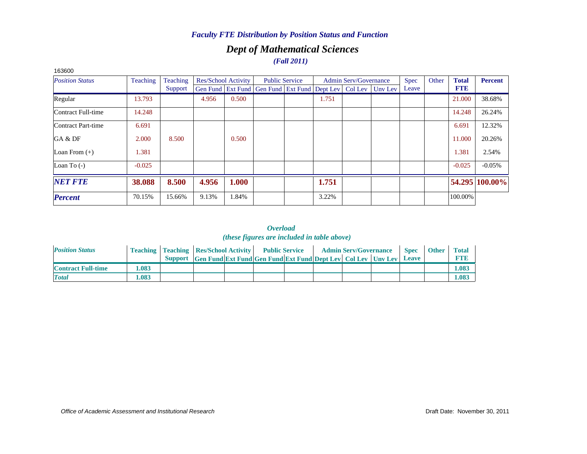## *Dept of Mathematical Sciences*

*(Fall 2011)*

| 163600                 |          |          |       |                     |                                                                          |       |                       |             |       |              |                |
|------------------------|----------|----------|-------|---------------------|--------------------------------------------------------------------------|-------|-----------------------|-------------|-------|--------------|----------------|
| <b>Position Status</b> | Teaching | Teaching |       | Res/School Activity | <b>Public Service</b>                                                    |       | Admin Serv/Governance | <b>Spec</b> | Other | <b>Total</b> | <b>Percent</b> |
|                        |          | Support  |       |                     | Gen Fund   Ext Fund   Gen Fund   Ext Fund   Dept Lev   Col Lev   Unv Lev |       |                       | Leave       |       | <b>FTE</b>   |                |
| Regular                | 13.793   |          | 4.956 | 0.500               |                                                                          | 1.751 |                       |             |       | 21.000       | 38.68%         |
| Contract Full-time     | 14.248   |          |       |                     |                                                                          |       |                       |             |       | 14.248       | 26.24%         |
| Contract Part-time     | 6.691    |          |       |                     |                                                                          |       |                       |             |       | 6.691        | 12.32%         |
| GA & DF                | 2.000    | 8.500    |       | 0.500               |                                                                          |       |                       |             |       | 11.000       | 20.26%         |
| Loan From $(+)$        | 1.381    |          |       |                     |                                                                          |       |                       |             |       | 1.381        | 2.54%          |
| Loan To $(-)$          | $-0.025$ |          |       |                     |                                                                          |       |                       |             |       | $-0.025$     | $-0.05%$       |
| <b>NET FTE</b>         | 38.088   | 8.500    | 4.956 | 1.000               |                                                                          | 1.751 |                       |             |       |              | 54.295 100.00% |
| <b>Percent</b>         | 70.15%   | 15.66%   | 9.13% | 1.84%               |                                                                          | 3.22% |                       |             |       | 100.00%      |                |

| <b>Position Status</b>    |      | <b>Teaching   Teaching   Res/School Activity   Public Service</b> |                                                                      |  |  | <b>Admin Serv/Governance</b> | <b>Spec</b> | <b>Other</b> | <b>Total</b> |
|---------------------------|------|-------------------------------------------------------------------|----------------------------------------------------------------------|--|--|------------------------------|-------------|--------------|--------------|
|                           |      |                                                                   | Support Gen Fund Ext Fund Gen Fund Ext Fund Dept Lev Col Lev Unv Lev |  |  |                              | Leave       |              | <b>FTE</b>   |
| <b>Contract Full-time</b> | .083 |                                                                   |                                                                      |  |  |                              |             |              | 1.083        |
| <b>Total</b>              | .083 |                                                                   |                                                                      |  |  |                              |             |              | 1.083        |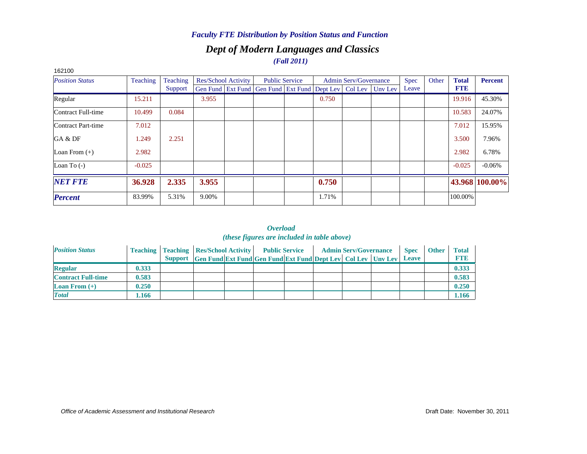### *Dept of Modern Languages and Classics (Fall 2011)*

| 162100                 |          |                 |       |                     |                                                                          |                       |       |                              |             |       |              |                |
|------------------------|----------|-----------------|-------|---------------------|--------------------------------------------------------------------------|-----------------------|-------|------------------------------|-------------|-------|--------------|----------------|
| <b>Position Status</b> | Teaching | <b>Teaching</b> |       | Res/School Activity |                                                                          | <b>Public Service</b> |       | <b>Admin Serv/Governance</b> | <b>Spec</b> | Other | <b>Total</b> | <b>Percent</b> |
|                        |          | Support         |       |                     | Gen Fund   Ext Fund   Gen Fund   Ext Fund   Dept Lev   Col Lev   Unv Lev |                       |       |                              | Leave       |       | <b>FTE</b>   |                |
| Regular                | 15.211   |                 | 3.955 |                     |                                                                          |                       | 0.750 |                              |             |       | 19.916       | 45.30%         |
| Contract Full-time     | 10.499   | 0.084           |       |                     |                                                                          |                       |       |                              |             |       | 10.583       | 24.07%         |
| Contract Part-time     | 7.012    |                 |       |                     |                                                                          |                       |       |                              |             |       | 7.012        | 15.95%         |
| GA & DF                | 1.249    | 2.251           |       |                     |                                                                          |                       |       |                              |             |       | 3.500        | 7.96%          |
| Loan From $(+)$        | 2.982    |                 |       |                     |                                                                          |                       |       |                              |             |       | 2.982        | 6.78%          |
| Loan To $(-)$          | $-0.025$ |                 |       |                     |                                                                          |                       |       |                              |             |       | $-0.025$     | $-0.06%$       |
| <b>NET FTE</b>         | 36.928   | 2.335           | 3.955 |                     |                                                                          |                       | 0.750 |                              |             |       |              | 43.968 100.00% |
| <b>Percent</b>         | 83.99%   | 5.31%           | 9.00% |                     |                                                                          |                       | 1.71% |                              |             |       | 100.00%      |                |

| <b>Position Status</b>    |       | <b>Teaching   Teaching   Res/School Activity  </b> |                                                                      | <b>Public Service</b> |  | <b>Admin Serv/Governance</b> | <b>Spec</b>  | <b>Other</b> | <b>Total</b> |
|---------------------------|-------|----------------------------------------------------|----------------------------------------------------------------------|-----------------------|--|------------------------------|--------------|--------------|--------------|
|                           |       |                                                    | Support Gen Fund Ext Fund Gen Fund Ext Fund Dept Lev Col Lev Unv Lev |                       |  |                              | <b>Leave</b> |              | <b>FTE</b>   |
| <b>Regular</b>            | 0.333 |                                                    |                                                                      |                       |  |                              |              |              | 0.333        |
| <b>Contract Full-time</b> | 0.583 |                                                    |                                                                      |                       |  |                              |              |              | 0.583        |
| <b>Loan From</b> $(+)$    | 0.250 |                                                    |                                                                      |                       |  |                              |              |              | 0.250        |
| <b>Total</b>              | l.166 |                                                    |                                                                      |                       |  |                              |              |              | 1.166        |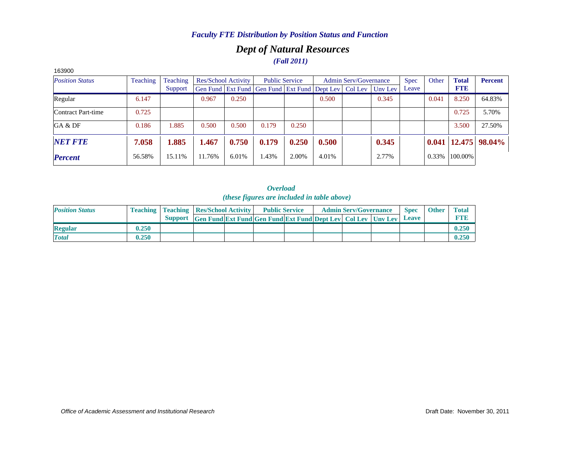### *Dept of Natural Resources (Fall 2011)*

| 163900                 |          |          |        |                     |                                                                |                       |       |                              |         |             |       |              |                           |
|------------------------|----------|----------|--------|---------------------|----------------------------------------------------------------|-----------------------|-------|------------------------------|---------|-------------|-------|--------------|---------------------------|
| <b>Position Status</b> | Teaching | Teaching |        | Res/School Activity |                                                                | <b>Public Service</b> |       | <b>Admin Serv/Governance</b> |         | <b>Spec</b> | Other | <b>Total</b> | <b>Percent</b>            |
|                        |          | Support  |        |                     | Gen Fund   Ext Fund   Gen Fund   Ext Fund   Dept Lev   Col Lev |                       |       |                              | Unv Lev | Leave       |       | <b>FTE</b>   |                           |
| Regular                | 6.147    |          | 0.967  | 0.250               |                                                                |                       | 0.500 |                              | 0.345   |             | 0.041 | 8.250        | 64.83%                    |
| Contract Part-time     | 0.725    |          |        |                     |                                                                |                       |       |                              |         |             |       | 0.725        | 5.70%                     |
| GA & DF                | 0.186    | 1.885    | 0.500  | 0.500               | 0.179                                                          | 0.250                 |       |                              |         |             |       | 3.500        | 27.50%                    |
| <b>NET FTE</b>         | 7.058    | 1.885    | 1.467  | 0.750               | 0.179                                                          | 0.250                 | 0.500 |                              | 0.345   |             |       |              | $0.041$   12.475   98.04% |
| <b>Percent</b>         | 56.58%   | 15.11%   | 11.76% | 6.01%               | 1.43%                                                          | 2.00%                 | 4.01% |                              | 2.77%   |             | 0.33% | 100.00%      |                           |

| <b>Position Status</b> |       | <b>Teaching   Teaching   Res/School Activity  </b> |                                                                      | <b>Public Service</b> |  | <b>Admin Serv/Governance</b> | <b>Spec</b> | <b>Other</b> | <b>Total</b> |
|------------------------|-------|----------------------------------------------------|----------------------------------------------------------------------|-----------------------|--|------------------------------|-------------|--------------|--------------|
|                        |       |                                                    | Support Gen Fund Ext Fund Gen Fund Ext Fund Dept Lev Col Lev Uny Lev |                       |  |                              | Leave       |              | <b>L'TE</b>  |
| <b>Regular</b>         | 0.250 |                                                    |                                                                      |                       |  |                              |             |              | 0.250        |
| <b>Total</b>           | 0.250 |                                                    |                                                                      |                       |  |                              |             |              | 0.250        |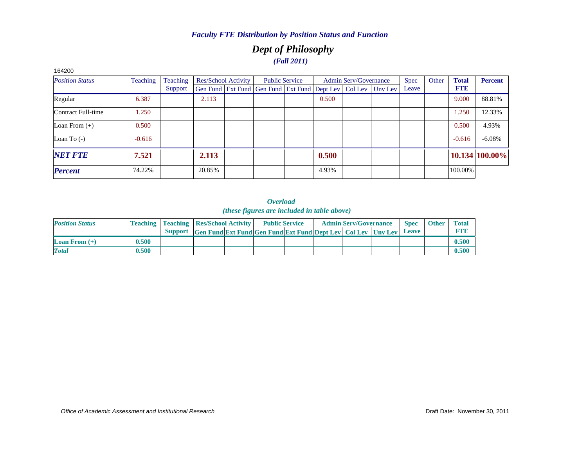### *Dept of Philosophy (Fall 2011)*

| 164200                 |          |          |        |                     |                                                                |       |                              |         |             |       |              |                |
|------------------------|----------|----------|--------|---------------------|----------------------------------------------------------------|-------|------------------------------|---------|-------------|-------|--------------|----------------|
| <b>Position Status</b> | Teaching | Teaching |        | Res/School Activity | <b>Public Service</b>                                          |       | <b>Admin Serv/Governance</b> |         | <b>Spec</b> | Other | <b>Total</b> | <b>Percent</b> |
|                        |          | Support  |        |                     | Gen Fund   Ext Fund   Gen Fund   Ext Fund   Dept Lev   Col Lev |       |                              | Unv Lev | Leave       |       | <b>FTE</b>   |                |
| Regular                | 6.387    |          | 2.113  |                     |                                                                | 0.500 |                              |         |             |       | 9.000        | 88.81%         |
| Contract Full-time     | 1.250    |          |        |                     |                                                                |       |                              |         |             |       | 1.250        | 12.33%         |
| Loan From $(+)$        | 0.500    |          |        |                     |                                                                |       |                              |         |             |       | 0.500        | 4.93%          |
| Loan To $(-)$          | $-0.616$ |          |        |                     |                                                                |       |                              |         |             |       | $-0.616$     | $-6.08%$       |
| <b>NET FTE</b>         | 7.521    |          | 2.113  |                     |                                                                | 0.500 |                              |         |             |       |              | 10.134 100.00% |
| <b>Percent</b>         | 74.22%   |          | 20.85% |                     |                                                                | 4.93% |                              |         |             |       | 100.00%      |                |

| <b>Position Status</b> |       | <b>Teaching   Teaching   Res/School Activity  </b> |                                                                             | <b>Public Service</b> |  | <b>Admin Serv/Governance</b> | <b>Spec</b>  | <b>Other</b> | Total      |
|------------------------|-------|----------------------------------------------------|-----------------------------------------------------------------------------|-----------------------|--|------------------------------|--------------|--------------|------------|
|                        |       |                                                    | <b>Support</b> Gen Fund Ext Fund Gen Fund Ext Fund Dept Lev Col Lev Unv Lev |                       |  |                              | <b>Leave</b> |              | <b>FTR</b> |
| <b>Loan From</b> $(+)$ | 0.500 |                                                    |                                                                             |                       |  |                              |              |              | 0.500      |
| <b>Total</b>           | 0.500 |                                                    |                                                                             |                       |  |                              |              |              | 0.500      |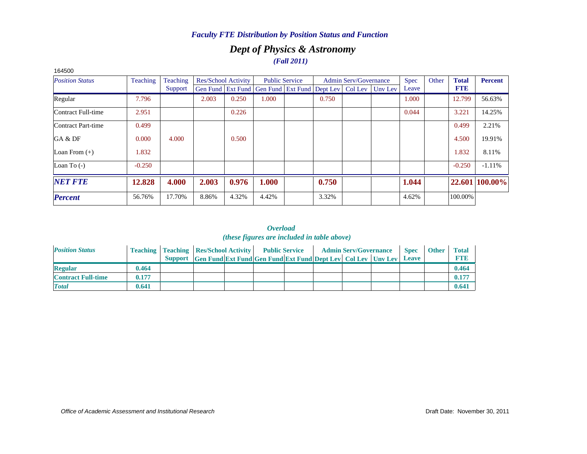### *Dept of Physics & Astronomy (Fall 2011)*

| 164500                 |          |          |       |                            |                                                                          |                       |       |                              |             |       |              |                |
|------------------------|----------|----------|-------|----------------------------|--------------------------------------------------------------------------|-----------------------|-------|------------------------------|-------------|-------|--------------|----------------|
| <b>Position Status</b> | Teaching | Teaching |       | <b>Res/School Activity</b> |                                                                          | <b>Public Service</b> |       | <b>Admin Serv/Governance</b> | <b>Spec</b> | Other | <b>Total</b> | <b>Percent</b> |
|                        |          | Support  |       |                            | Gen Fund   Ext Fund   Gen Fund   Ext Fund   Dept Lev   Col Lev   Unv Lev |                       |       |                              | Leave       |       | <b>FTE</b>   |                |
| Regular                | 7.796    |          | 2.003 | 0.250                      | 1.000                                                                    |                       | 0.750 |                              | 1.000       |       | 12.799       | 56.63%         |
| Contract Full-time     | 2.951    |          |       | 0.226                      |                                                                          |                       |       |                              | 0.044       |       | 3.221        | 14.25%         |
| Contract Part-time     | 0.499    |          |       |                            |                                                                          |                       |       |                              |             |       | 0.499        | 2.21%          |
| GA & DF                | 0.000    | 4.000    |       | 0.500                      |                                                                          |                       |       |                              |             |       | 4.500        | 19.91%         |
| Loan From $(+)$        | 1.832    |          |       |                            |                                                                          |                       |       |                              |             |       | 1.832        | 8.11%          |
| Loan To $(-)$          | $-0.250$ |          |       |                            |                                                                          |                       |       |                              |             |       | $-0.250$     | $-1.11%$       |
| <b>NET FTE</b>         | 12.828   | 4.000    | 2.003 | 0.976                      | 1.000                                                                    |                       | 0.750 |                              | 1.044       |       |              | 22.601 100.00% |
| <b>Percent</b>         | 56.76%   | 17.70%   | 8.86% | 4.32%                      | 4.42%                                                                    |                       | 3.32% |                              | 4.62%       |       | 100.00%      |                |

| <b>Position Status</b>    |       | <b>Teaching   Teaching   Res/School Activity   Public Service</b> |                                                                      |  |  | <b>Admin Serv/Governance</b> | <b>Spec</b>  | <b>Other</b> | Total       |
|---------------------------|-------|-------------------------------------------------------------------|----------------------------------------------------------------------|--|--|------------------------------|--------------|--------------|-------------|
|                           |       |                                                                   | Support Gen Fund Ext Fund Gen Fund Ext Fund Dept Lev Col Lev Unv Lev |  |  |                              | <b>Leave</b> |              | <b>FTIP</b> |
| <b>Regular</b>            | 0.464 |                                                                   |                                                                      |  |  |                              |              |              | 0.464       |
| <b>Contract Full-time</b> | 0.177 |                                                                   |                                                                      |  |  |                              |              |              | 0.177       |
| <b>Total</b>              | 0.641 |                                                                   |                                                                      |  |  |                              |              |              | 0.641       |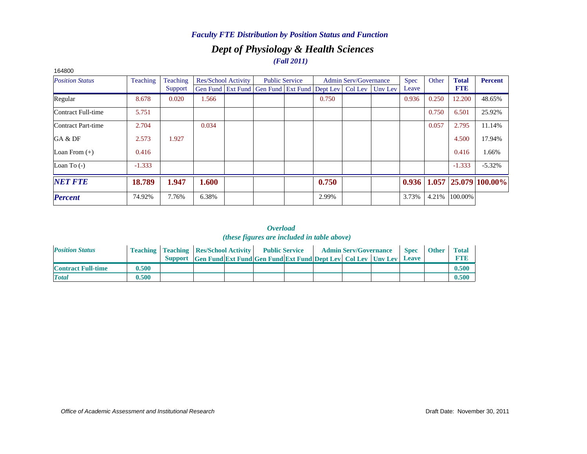### *Dept of Physiology & Health Sciences (Fall 2011)*

| 164800                 |                 |          |       |                            |                                                                |                       |       |                              |         |       |       |              |                            |
|------------------------|-----------------|----------|-------|----------------------------|----------------------------------------------------------------|-----------------------|-------|------------------------------|---------|-------|-------|--------------|----------------------------|
| <b>Position Status</b> | <b>Teaching</b> | Teaching |       | <b>Res/School Activity</b> |                                                                | <b>Public Service</b> |       | <b>Admin Serv/Governance</b> |         | Spec  | Other | <b>Total</b> | <b>Percent</b>             |
|                        |                 | Support  |       |                            | Gen Fund   Ext Fund   Gen Fund   Ext Fund   Dept Lev   Col Lev |                       |       |                              | Unv Lev | Leave |       | <b>FTE</b>   |                            |
| Regular                | 8.678           | 0.020    | 1.566 |                            |                                                                |                       | 0.750 |                              |         | 0.936 | 0.250 | 12.200       | 48.65%                     |
| Contract Full-time     | 5.751           |          |       |                            |                                                                |                       |       |                              |         |       | 0.750 | 6.501        | 25.92%                     |
| Contract Part-time     | 2.704           |          | 0.034 |                            |                                                                |                       |       |                              |         |       | 0.057 | 2.795        | 11.14%                     |
| GA & DF                | 2.573           | 1.927    |       |                            |                                                                |                       |       |                              |         |       |       | 4.500        | 17.94%                     |
| Loan From $(+)$        | 0.416           |          |       |                            |                                                                |                       |       |                              |         |       |       | 0.416        | 1.66%                      |
| Loan To $(-)$          | $-1.333$        |          |       |                            |                                                                |                       |       |                              |         |       |       | $-1.333$     | $-5.32%$                   |
| <b>NET FTE</b>         | 18.789          | 1.947    | 1.600 |                            |                                                                |                       | 0.750 |                              |         | 0.936 |       |              | $1.057$   25.079   100.00% |
| <b>Percent</b>         | 74.92%          | 7.76%    | 6.38% |                            |                                                                |                       | 2.99% |                              |         | 3.73% | 4.21% | 100.00%      |                            |

| <b>Position Status</b>    |       | <b>Teaching   Teaching   Res/School Activity  </b> |                                                                      | <b>Public Service</b> |  | <b>Admin Serv/Governance</b> | <b>Spec</b> | <b>Other</b> | <b>Total</b> |
|---------------------------|-------|----------------------------------------------------|----------------------------------------------------------------------|-----------------------|--|------------------------------|-------------|--------------|--------------|
|                           |       |                                                    | Support Gen Fund Ext Fund Gen Fund Ext Fund Dept Lev Col Lev Unv Lev |                       |  |                              | Leave       |              | <b>FTE</b>   |
| <b>Contract Full-time</b> | 0.500 |                                                    |                                                                      |                       |  |                              |             |              | 0.500        |
| <b>Total</b>              | 0.500 |                                                    |                                                                      |                       |  |                              |             |              | 0.500        |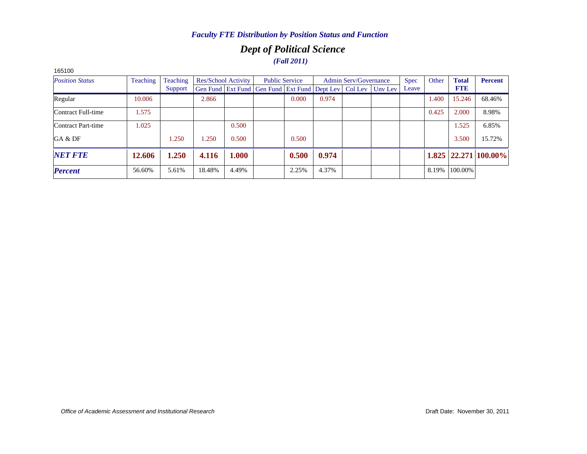### *Dept of Political Science (Fall 2011)*

| 100100                 |          |          |        |                     |                                                                          |                       |       |                              |             |       |              |                            |
|------------------------|----------|----------|--------|---------------------|--------------------------------------------------------------------------|-----------------------|-------|------------------------------|-------------|-------|--------------|----------------------------|
| <b>Position Status</b> | Teaching | Teaching |        | Res/School Activity |                                                                          | <b>Public Service</b> |       | <b>Admin Serv/Governance</b> | <b>Spec</b> | Other | <b>Total</b> | <b>Percent</b>             |
|                        |          | Support  |        |                     | Gen Fund   Ext Fund   Gen Fund   Ext Fund   Dept Lev   Col Lev   Unv Lev |                       |       |                              | Leave       |       | <b>FTE</b>   |                            |
| Regular                | 10.006   |          | 2.866  |                     |                                                                          | 0.000                 | 0.974 |                              |             | 1.400 | 15.246       | 68.46%                     |
| Contract Full-time     | 1.575    |          |        |                     |                                                                          |                       |       |                              |             | 0.425 | 2.000        | 8.98%                      |
| Contract Part-time     | 1.025    |          |        | 0.500               |                                                                          |                       |       |                              |             |       | 1.525        | 6.85%                      |
| GA & DF                |          | 1.250    | 1.250  | 0.500               |                                                                          | 0.500                 |       |                              |             |       | 3.500        | 15.72%                     |
| <b>NET FTE</b>         | 12.606   | 1.250    | 4.116  | 1.000               |                                                                          | 0.500                 | 0.974 |                              |             |       |              | $1.825$   22.271   100.00% |
| <b>Percent</b>         | 56.60%   | 5.61%    | 18.48% | 4.49%               |                                                                          | 2.25%                 | 4.37% |                              |             | 8.19% | 100.00%      |                            |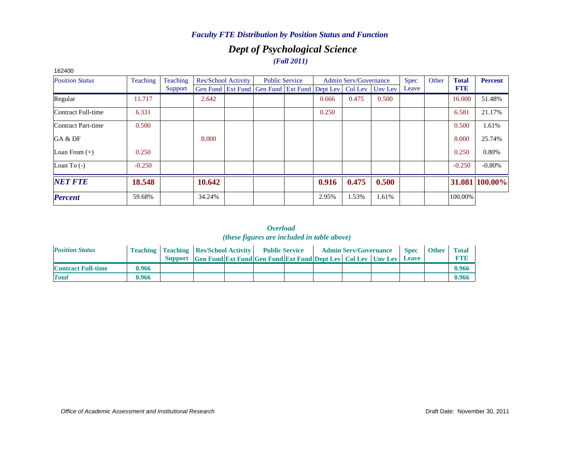### *Dept of Psychological Science (Fall 2011)*

| 162400                 |          |          |        |                            |                                              |                       |       |                              |         |             |       |              |                |
|------------------------|----------|----------|--------|----------------------------|----------------------------------------------|-----------------------|-------|------------------------------|---------|-------------|-------|--------------|----------------|
| <b>Position Status</b> | Teaching | Teaching |        | <b>Res/School Activity</b> |                                              | <b>Public Service</b> |       | <b>Admin Serv/Governance</b> |         | <b>Spec</b> | Other | <b>Total</b> | <b>Percent</b> |
|                        |          | Support  |        |                            | Gen Fund Ext Fund Gen Fund Ext Fund Dept Lev |                       |       | Col Lev                      | Unv Lev | Leave       |       | <b>FTE</b>   |                |
| Regular                | 11.717   |          | 2.642  |                            |                                              |                       | 0.666 | 0.475                        | 0.500   |             |       | 16.000       | 51.48%         |
| Contract Full-time     | 6.331    |          |        |                            |                                              |                       | 0.250 |                              |         |             |       | 6.581        | 21.17%         |
| Contract Part-time     | 0.500    |          |        |                            |                                              |                       |       |                              |         |             |       | 0.500        | 1.61%          |
| GA & DF                |          |          | 8.000  |                            |                                              |                       |       |                              |         |             |       | 8.000        | 25.74%         |
| Loan From $(+)$        | 0.250    |          |        |                            |                                              |                       |       |                              |         |             |       | 0.250        | 0.80%          |
| Loan To $(-)$          | $-0.250$ |          |        |                            |                                              |                       |       |                              |         |             |       | $-0.250$     | $-0.80%$       |
| <b>NET FTE</b>         | 18.548   |          | 10.642 |                            |                                              |                       | 0.916 | 0.475                        | 0.500   |             |       |              | 31.081 100.00% |
| <b>Percent</b>         | 59.68%   |          | 34.24% |                            |                                              |                       | 2.95% | 1.53%                        | 1.61%   |             |       | 100.00%      |                |

| <b>Position Status</b>    |       | <b>Teaching   Teaching   Res/School Activity  </b> |                                                                      | <b>Public Service</b> |  | <b>Admin Serv/Governance</b> | <b>Spec</b> | <b>Other</b> | <b>Total</b> |
|---------------------------|-------|----------------------------------------------------|----------------------------------------------------------------------|-----------------------|--|------------------------------|-------------|--------------|--------------|
|                           |       |                                                    | Support Gen Fund Ext Fund Gen Fund Ext Fund Dept Lev Col Lev Unv Lev |                       |  |                              | Leave       |              | <b>FTIE</b>  |
| <b>Contract Full-time</b> | 0.966 |                                                    |                                                                      |                       |  |                              |             |              | 0.966        |
| <b>Total</b>              | 0.966 |                                                    |                                                                      |                       |  |                              |             |              | 0.966        |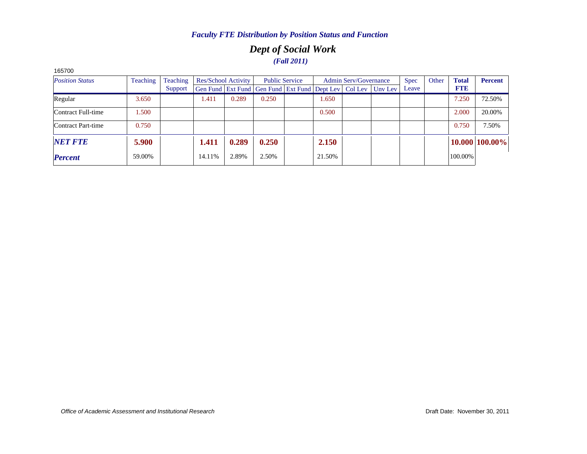### *Dept of Social Work (Fall 2011)*

| 1057 UU                |                 |          |        |                     |                                                                |                       |        |                              |         |             |       |              |                |
|------------------------|-----------------|----------|--------|---------------------|----------------------------------------------------------------|-----------------------|--------|------------------------------|---------|-------------|-------|--------------|----------------|
| <b>Position Status</b> | <b>Teaching</b> | Teaching |        | Res/School Activity |                                                                | <b>Public Service</b> |        | <b>Admin Serv/Governance</b> |         | <b>Spec</b> | Other | <b>Total</b> | <b>Percent</b> |
|                        |                 | Support  |        |                     | Gen Fund   Ext Fund   Gen Fund   Ext Fund   Dept Lev   Col Lev |                       |        |                              | Uny Lev | Leave       |       | <b>FTE</b>   |                |
| Regular                | 3.650           |          | 1.411  | 0.289               | 0.250                                                          |                       | 1.650  |                              |         |             |       | 7.250        | 72.50%         |
| Contract Full-time     | 1.500           |          |        |                     |                                                                |                       | 0.500  |                              |         |             |       | 2.000        | 20.00%         |
| Contract Part-time     | 0.750           |          |        |                     |                                                                |                       |        |                              |         |             |       | 0.750        | 7.50%          |
| <b>NET FTE</b>         | 5.900           |          | 1.411  | 0.289               | 0.250                                                          |                       | 2.150  |                              |         |             |       |              | 10.000 100.00% |
| <b>Percent</b>         | 59.00%          |          | 14.11% | 2.89%               | 2.50%                                                          |                       | 21.50% |                              |         |             |       | 100.00%      |                |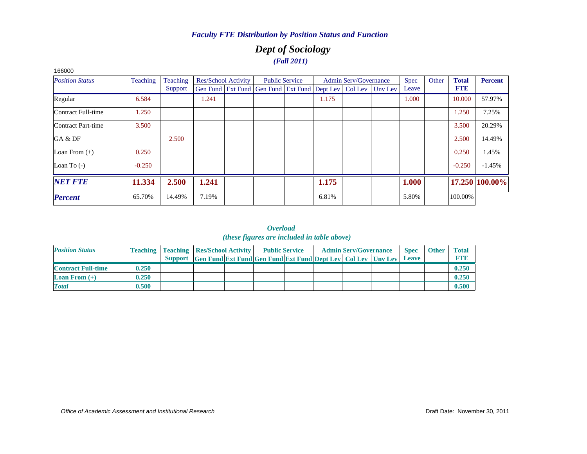### *Dept of Sociology (Fall 2011)*

| 166000                 |                 |                 |       |                            |                                                                          |                       |       |                              |             |       |              |                |
|------------------------|-----------------|-----------------|-------|----------------------------|--------------------------------------------------------------------------|-----------------------|-------|------------------------------|-------------|-------|--------------|----------------|
| <b>Position Status</b> | <b>Teaching</b> | <b>Teaching</b> |       | <b>Res/School Activity</b> |                                                                          | <b>Public Service</b> |       | <b>Admin Serv/Governance</b> | <b>Spec</b> | Other | <b>Total</b> | <b>Percent</b> |
|                        |                 | Support         |       |                            | Gen Fund   Ext Fund   Gen Fund   Ext Fund   Dept Lev   Col Lev   Unv Lev |                       |       |                              | Leave       |       | <b>FTE</b>   |                |
| Regular                | 6.584           |                 | 1.241 |                            |                                                                          |                       | 1.175 |                              | 1.000       |       | 10.000       | 57.97%         |
| Contract Full-time     | 1.250           |                 |       |                            |                                                                          |                       |       |                              |             |       | 1.250        | 7.25%          |
| Contract Part-time     | 3.500           |                 |       |                            |                                                                          |                       |       |                              |             |       | 3.500        | 20.29%         |
| GA & DF                |                 | 2.500           |       |                            |                                                                          |                       |       |                              |             |       | 2.500        | 14.49%         |
| Loan From $(+)$        | 0.250           |                 |       |                            |                                                                          |                       |       |                              |             |       | 0.250        | 1.45%          |
| Loan To $(-)$          | $-0.250$        |                 |       |                            |                                                                          |                       |       |                              |             |       | $-0.250$     | $-1.45%$       |
| <b>NET FTE</b>         | 11.334          | 2.500           | 1.241 |                            |                                                                          |                       | 1.175 |                              | 1.000       |       |              | 17.250 100.00% |
| <b>Percent</b>         | 65.70%          | 14.49%          | 7.19% |                            |                                                                          |                       | 6.81% |                              | 5.80%       |       | 100.00%      |                |

| <b>Position Status</b>    |       | <b>Teaching   Teaching   Res/School Activity   Public Service</b> |                                                                      |  |  | <b>Admin Serv/Governance</b> | <b>Spec</b>  | <b>Other</b> | Total       |
|---------------------------|-------|-------------------------------------------------------------------|----------------------------------------------------------------------|--|--|------------------------------|--------------|--------------|-------------|
|                           |       |                                                                   | Support Gen Fund Ext Fund Gen Fund Ext Fund Dept Lev Col Lev Unv Lev |  |  |                              | <b>Leave</b> |              | <b>FTI3</b> |
| <b>Contract Full-time</b> | 0.250 |                                                                   |                                                                      |  |  |                              |              |              | 0.250       |
| <b>Loan From</b> $(+)$    | 0.250 |                                                                   |                                                                      |  |  |                              |              |              | 0.250       |
| <b>Total</b>              | 0.500 |                                                                   |                                                                      |  |  |                              |              |              | 0.500       |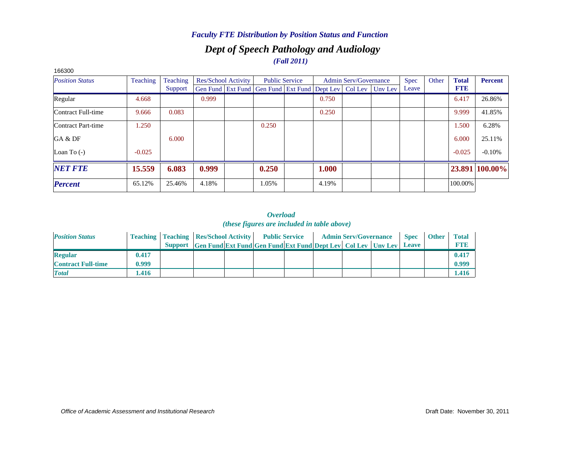### *Dept of Speech Pathology and Audiology Faculty FTE Distribution by Position Status and Function*

#### *(Fall 2011)*

| 166300                    |          |          |       |                            |                                                                |       |                              |         |             |       |              |                |
|---------------------------|----------|----------|-------|----------------------------|----------------------------------------------------------------|-------|------------------------------|---------|-------------|-------|--------------|----------------|
| <b>Position Status</b>    | Teaching | Teaching |       | <b>Res/School Activity</b> | <b>Public Service</b>                                          |       | <b>Admin Serv/Governance</b> |         | <b>Spec</b> | Other | <b>Total</b> | <b>Percent</b> |
|                           |          | Support  |       |                            | Gen Fund   Ext Fund   Gen Fund   Ext Fund   Dept Lev   Col Lev |       |                              | Unv Lev | Leave       |       | <b>FTE</b>   |                |
| Regular                   | 4.668    |          | 0.999 |                            |                                                                | 0.750 |                              |         |             |       | 6.417        | 26.86%         |
| Contract Full-time        | 9.666    | 0.083    |       |                            |                                                                | 0.250 |                              |         |             |       | 9.999        | 41.85%         |
| <b>Contract Part-time</b> | 1.250    |          |       |                            | 0.250                                                          |       |                              |         |             |       | 1.500        | 6.28%          |
| GA & DF                   |          | 6.000    |       |                            |                                                                |       |                              |         |             |       | 6.000        | 25.11%         |
| Loan To $(-)$             | $-0.025$ |          |       |                            |                                                                |       |                              |         |             |       | $-0.025$     | $-0.10%$       |
| <b>NET FTE</b>            | 15.559   | 6.083    | 0.999 |                            | 0.250                                                          | 1.000 |                              |         |             |       |              | 23.891 100.00% |
| <b>Percent</b>            | 65.12%   | 25.46%   | 4.18% |                            | 1.05%                                                          | 4.19% |                              |         |             |       | 100.00%      |                |

| <b>Position Status</b>    |       | <b>Teaching   Teaching   Res/School Activity   Public Service</b> |                                                                            |  |  | <b>Admin Serv/Governance</b> | <b>Spec</b> | <b>Other</b> | <b>Total</b> |
|---------------------------|-------|-------------------------------------------------------------------|----------------------------------------------------------------------------|--|--|------------------------------|-------------|--------------|--------------|
|                           |       |                                                                   | Support Gen Fund Ext Fund Gen Fund Ext Fund Dept Lev Col Lev Unv Lev Leave |  |  |                              |             |              | <b>FTF</b>   |
| <b>Regular</b>            | 0.417 |                                                                   |                                                                            |  |  |                              |             |              | 0.417        |
| <b>Contract Full-time</b> | 0.999 |                                                                   |                                                                            |  |  |                              |             |              | 0.999        |
| <b>Total</b>              | 1.416 |                                                                   |                                                                            |  |  |                              |             |              | 1.416        |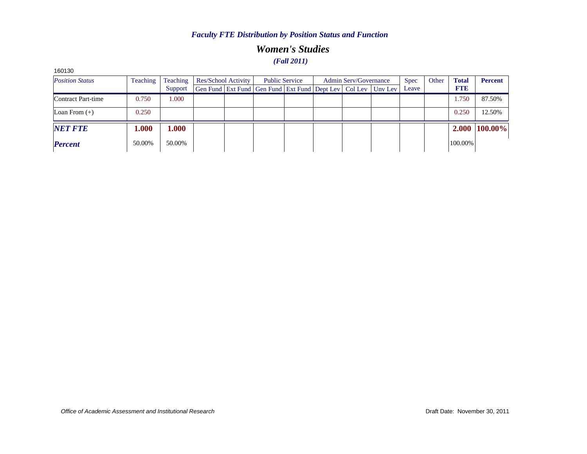### *Women's Studies (Fall 2011)*

| 160130                 |                 |                 |                     |                                                              |                       |                       |             |       |              |                |
|------------------------|-----------------|-----------------|---------------------|--------------------------------------------------------------|-----------------------|-----------------------|-------------|-------|--------------|----------------|
| <b>Position Status</b> | <b>Teaching</b> | <b>Teaching</b> | Res/School Activity |                                                              | <b>Public Service</b> | Admin Serv/Governance | <b>Spec</b> | Other | <b>Total</b> | <b>Percent</b> |
|                        |                 | Support         |                     | Gen Fund Ext Fund Gen Fund Ext Fund Dept Lev Col Lev Unv Lev |                       |                       | Leave       |       | <b>FTE</b>   |                |
| Contract Part-time     | 0.750           | 1.000           |                     |                                                              |                       |                       |             |       | 1.750        | 87.50%         |
| Loan From $(+)$        | 0.250           |                 |                     |                                                              |                       |                       |             |       | 0.250        | 12.50%         |
| <b>NET FTE</b>         | 1.000           | 1.000           |                     |                                                              |                       |                       |             |       |              | 2.000 100.00%  |
| <b>Percent</b>         | 50.00%          | 50.00%          |                     |                                                              |                       |                       |             |       | 100.00%      |                |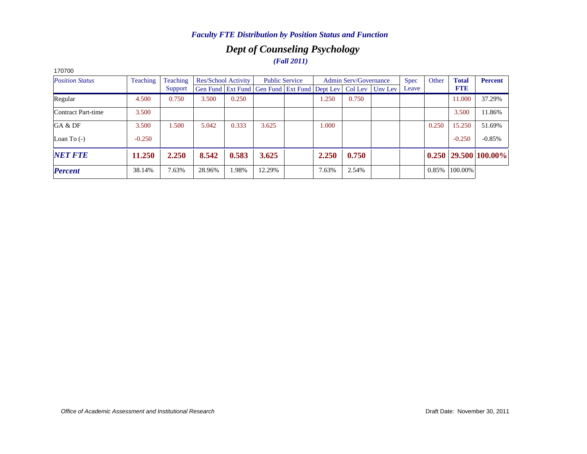### *Dept of Counseling Psychology (Fall 2011)*

| 170700                 |          |          |        |                     |                                                                          |       |                              |             |       |              |                            |
|------------------------|----------|----------|--------|---------------------|--------------------------------------------------------------------------|-------|------------------------------|-------------|-------|--------------|----------------------------|
| <b>Position Status</b> | Teaching | Teaching |        | Res/School Activity | <b>Public Service</b>                                                    |       | <b>Admin Serv/Governance</b> | <b>Spec</b> | Other | <b>Total</b> | <b>Percent</b>             |
|                        |          | Support  |        |                     | Gen Fund   Ext Fund   Gen Fund   Ext Fund   Dept Lev   Col Lev   Unv Lev |       |                              | Leave       |       | <b>FTE</b>   |                            |
| Regular                | 4.500    | 0.750    | 3.500  | 0.250               |                                                                          | 1.250 | 0.750                        |             |       | 11.000       | 37.29%                     |
| Contract Part-time     | 3.500    |          |        |                     |                                                                          |       |                              |             |       | 3.500        | 11.86%                     |
| GA & DF                | 3.500    | 1.500    | 5.042  | 0.333               | 3.625                                                                    | 1.000 |                              |             | 0.250 | 15.250       | 51.69%                     |
| Loan To $(-)$          | $-0.250$ |          |        |                     |                                                                          |       |                              |             |       | $-0.250$     | $-0.85%$                   |
| <b>NET FTE</b>         | 11.250   | 2.250    | 8.542  | 0.583               | 3.625                                                                    | 2.250 | 0.750                        |             |       |              | $0.250$   29.500   100.00% |
| <b>Percent</b>         | 38.14%   | 7.63%    | 28.96% | .98%                | 12.29%                                                                   | 7.63% | 2.54%                        |             | 0.85% | 100.00%      |                            |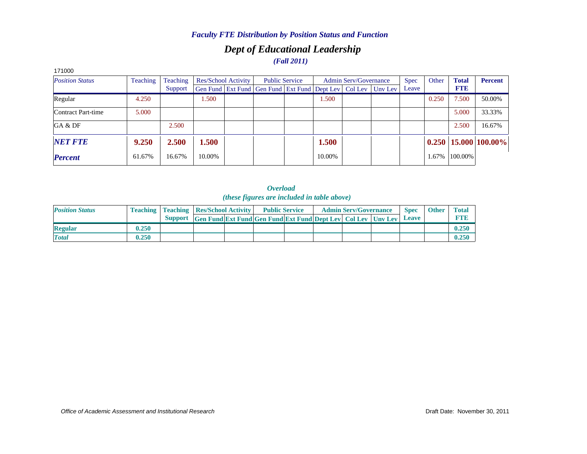## *Dept of Educational Leadership*

# *(Fall 2011)*

| <b>Position Status</b> | <b>Teaching</b> | Teaching |        | Res/School Activity |                                                                | <b>Public Service</b> |        | <b>Admin Serv/Governance</b> |         | <b>Spec</b> | Other | <b>Total</b> | <b>Percent</b>             |
|------------------------|-----------------|----------|--------|---------------------|----------------------------------------------------------------|-----------------------|--------|------------------------------|---------|-------------|-------|--------------|----------------------------|
|                        |                 | Support  |        |                     | Gen Fund   Ext Fund   Gen Fund   Ext Fund   Dept Lev   Col Lev |                       |        |                              | Unv Lev | Leave       |       | <b>FTE</b>   |                            |
| Regular                | 4.250           |          | l.500  |                     |                                                                |                       | 1.500  |                              |         |             | 0.250 | 7.500        | 50.00%                     |
| Contract Part-time     | 5.000           |          |        |                     |                                                                |                       |        |                              |         |             |       | 5.000        | 33.33%                     |
| GA & DF                |                 | 2.500    |        |                     |                                                                |                       |        |                              |         |             |       | 2.500        | 16.67%                     |
| <b>NET FTE</b>         | 9.250           | 2.500    | .500   |                     |                                                                |                       | 1.500  |                              |         |             |       |              | $0.250$   15.000   100.00% |
| <b>Percent</b>         | 61.67%          | 16.67%   | 10.00% |                     |                                                                |                       | 10.00% |                              |         |             | 1.67% | 100.00%      |                            |

#### *Overload (these figures are included in table above)*

| <b>Position Status</b> |       | <b>Teaching   Teaching   Res/School Activity  </b>                       |  | <b>Public Service</b> |  | <b>Admin Serv/Governance</b> | <b>Spec</b> | <b>Other</b> | <b>Total</b> |
|------------------------|-------|--------------------------------------------------------------------------|--|-----------------------|--|------------------------------|-------------|--------------|--------------|
|                        |       | Support Gen Fund Ext Fund Gen Fund Ext Fund Dept Lev   Col Lev   Unv Lev |  |                       |  |                              | Leave       |              | <b>FTE</b>   |
| <b>Regular</b>         | 0.250 |                                                                          |  |                       |  |                              |             |              | 0.250        |
| <b>Total</b>           | 0.250 |                                                                          |  |                       |  |                              |             |              | 0.250        |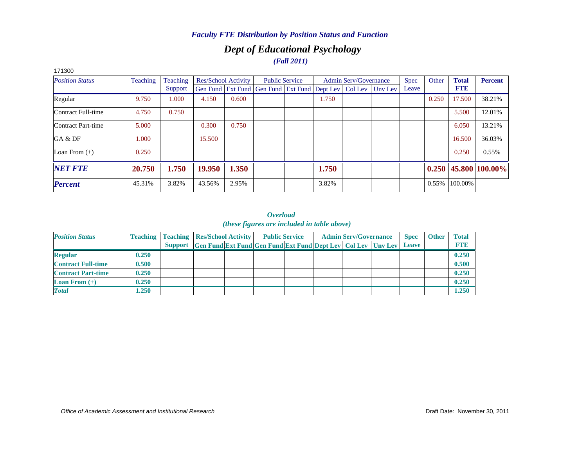### *Dept of Educational Psychology (Fall 2011)*

| 17 I JUU               |          |          |        |                     |                                                                |                       |       |                              |         |             |       |              |                        |
|------------------------|----------|----------|--------|---------------------|----------------------------------------------------------------|-----------------------|-------|------------------------------|---------|-------------|-------|--------------|------------------------|
| <b>Position Status</b> | Teaching | Teaching |        | Res/School Activity |                                                                | <b>Public Service</b> |       | <b>Admin Serv/Governance</b> |         | <b>Spec</b> | Other | <b>Total</b> | <b>Percent</b>         |
|                        |          | Support  |        |                     | Gen Fund   Ext Fund   Gen Fund   Ext Fund   Dept Lev   Col Lev |                       |       |                              | Unv Lev | Leave       |       | <b>FTE</b>   |                        |
| Regular                | 9.750    | 1.000    | 4.150  | 0.600               |                                                                |                       | 1.750 |                              |         |             | 0.250 | 17.500       | 38.21%                 |
| Contract Full-time     | 4.750    | 0.750    |        |                     |                                                                |                       |       |                              |         |             |       | 5.500        | 12.01%                 |
| Contract Part-time     | 5.000    |          | 0.300  | 0.750               |                                                                |                       |       |                              |         |             |       | 6.050        | 13.21%                 |
| GA & DF                | 1.000    |          | 15.500 |                     |                                                                |                       |       |                              |         |             |       | 16.500       | 36.03%                 |
| Loan From $(+)$        | 0.250    |          |        |                     |                                                                |                       |       |                              |         |             |       | 0.250        | 0.55%                  |
| <b>NET FTE</b>         | 20.750   | 1.750    | 19.950 | 1.350               |                                                                |                       | 1.750 |                              |         |             |       |              | $0.250$ 45.800 100.00% |
| <b>Percent</b>         | 45.31%   | 3.82%    | 43.56% | 2.95%               |                                                                |                       | 3.82% |                              |         |             | 0.55% | 100.00%      |                        |
|                        |          |          |        |                     |                                                                |                       |       |                              |         |             |       |              |                        |

#### 171300

| <b>Position Status</b>    |       | <b>Teaching Teaching Res/School Activity</b> |                                                                      | <b>Public Service</b> |  | <b>Admin Serv/Governance</b> | <b>Spec</b>  | <b>Other</b> | <b>Total</b> |
|---------------------------|-------|----------------------------------------------|----------------------------------------------------------------------|-----------------------|--|------------------------------|--------------|--------------|--------------|
|                           |       |                                              | Support Gen Fund Ext Fund Gen Fund Ext Fund Dept Lev Col Lev Unv Lev |                       |  |                              | <b>Leave</b> |              | <b>FTE</b>   |
| <b>Regular</b>            | 0.250 |                                              |                                                                      |                       |  |                              |              |              | 0.250        |
| <b>Contract Full-time</b> | 0.500 |                                              |                                                                      |                       |  |                              |              |              | 0.500        |
| <b>Contract Part-time</b> | 0.250 |                                              |                                                                      |                       |  |                              |              |              | 0.250        |
| <b>Loan From</b> $(+)$    | 0.250 |                                              |                                                                      |                       |  |                              |              |              | 0.250        |
| <b>Total</b>              | 1.250 |                                              |                                                                      |                       |  |                              |              |              | 1.250        |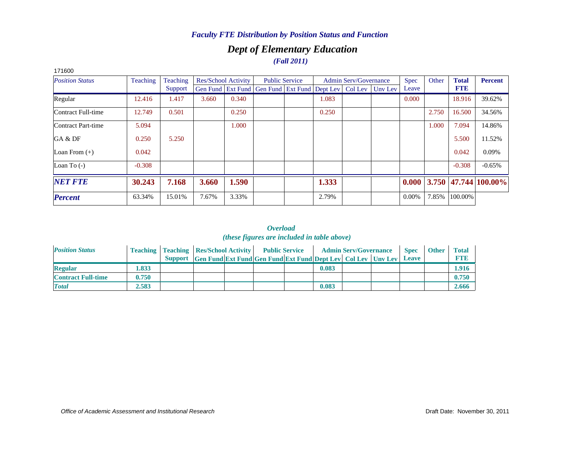### *Dept of Elementary Education (Fall 2011)*

| 171600                 |          |          |       |                     |                                                                |                       |       |                              |         |          |       |              |                           |
|------------------------|----------|----------|-------|---------------------|----------------------------------------------------------------|-----------------------|-------|------------------------------|---------|----------|-------|--------------|---------------------------|
| <b>Position Status</b> | Teaching | Teaching |       | Res/School Activity |                                                                | <b>Public Service</b> |       | <b>Admin Serv/Governance</b> |         | Spec     | Other | <b>Total</b> | <b>Percent</b>            |
|                        |          | Support  |       |                     | Gen Fund   Ext Fund   Gen Fund   Ext Fund   Dept Lev   Col Lev |                       |       |                              | Unv Lev | Leave    |       | <b>FTE</b>   |                           |
| Regular                | 12.416   | 1.417    | 3.660 | 0.340               |                                                                |                       | 1.083 |                              |         | 0.000    |       | 18.916       | 39.62%                    |
| Contract Full-time     | 12.749   | 0.501    |       | 0.250               |                                                                |                       | 0.250 |                              |         |          | 2.750 | 16.500       | 34.56%                    |
| Contract Part-time     | 5.094    |          |       | 1.000               |                                                                |                       |       |                              |         |          | 1.000 | 7.094        | 14.86%                    |
| GA & DF                | 0.250    | 5.250    |       |                     |                                                                |                       |       |                              |         |          |       | 5.500        | 11.52%                    |
| Loan From $(+)$        | 0.042    |          |       |                     |                                                                |                       |       |                              |         |          |       | 0.042        | 0.09%                     |
| Loan To $(-)$          | $-0.308$ |          |       |                     |                                                                |                       |       |                              |         |          |       | $-0.308$     | $-0.65%$                  |
| <b>NET FTE</b>         | 30.243   | 7.168    | 3.660 | 1.590               |                                                                |                       | 1.333 |                              |         | 0.000    |       |              | $3.750$  47.744   100.00% |
| <b>Percent</b>         | 63.34%   | 15.01%   | 7.67% | 3.33%               |                                                                |                       | 2.79% |                              |         | $0.00\%$ | 7.85% | 100.00%      |                           |

| <b>Position Status</b>    |       | <b>Teaching   Teaching   Res/School Activity   Public Service</b> |                                                                      |  |       | <b>Admin Serv/Governance</b> | <b>Spec</b> | <b>Other</b> | <b>Total</b> |
|---------------------------|-------|-------------------------------------------------------------------|----------------------------------------------------------------------|--|-------|------------------------------|-------------|--------------|--------------|
|                           |       |                                                                   | Support Gen Fund Ext Fund Gen Fund Ext Fund Dept Lev Col Lev Unv Lev |  |       |                              | Leave       |              | <b>FTF</b>   |
| <b>Regular</b>            | .833  |                                                                   |                                                                      |  | 0.083 |                              |             |              | 1.916        |
| <b>Contract Full-time</b> | 0.750 |                                                                   |                                                                      |  |       |                              |             |              | 0.750        |
| <b>Total</b>              | 2.583 |                                                                   |                                                                      |  | 0.083 |                              |             |              | 2.666        |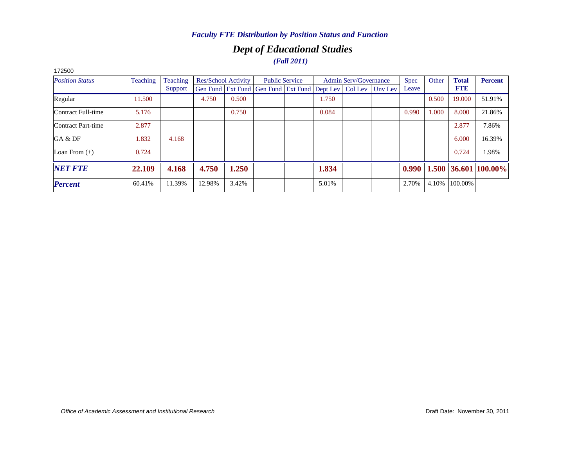### *Dept of Educational Studies (Fall 2011)*

| 172000                 |          |          |        |                            |                                                                          |                       |       |                              |             |       |              |                        |
|------------------------|----------|----------|--------|----------------------------|--------------------------------------------------------------------------|-----------------------|-------|------------------------------|-------------|-------|--------------|------------------------|
| <b>Position Status</b> | Teaching | Teaching |        | <b>Res/School Activity</b> |                                                                          | <b>Public Service</b> |       | <b>Admin Serv/Governance</b> | <b>Spec</b> | Other | <b>Total</b> | <b>Percent</b>         |
|                        |          | Support  |        |                            | Gen Fund   Ext Fund   Gen Fund   Ext Fund   Dept Lev   Col Lev   Unv Lev |                       |       |                              | Leave       |       | <b>FTE</b>   |                        |
| Regular                | 11.500   |          | 4.750  | 0.500                      |                                                                          |                       | 1.750 |                              |             | 0.500 | 19.000       | 51.91%                 |
| Contract Full-time     | 5.176    |          |        | 0.750                      |                                                                          |                       | 0.084 |                              | 0.990       | 1.000 | 8.000        | 21.86%                 |
| Contract Part-time     | 2.877    |          |        |                            |                                                                          |                       |       |                              |             |       | 2.877        | 7.86%                  |
| GA & DF                | 1.832    | 4.168    |        |                            |                                                                          |                       |       |                              |             |       | 6.000        | 16.39%                 |
| Loan From $(+)$        | 0.724    |          |        |                            |                                                                          |                       |       |                              |             |       | 0.724        | 1.98%                  |
| <b>NET FTE</b>         | 22.109   | 4.168    | 4.750  | 1.250                      |                                                                          |                       | 1.834 |                              | 0.990       |       |              | $1.500$ 36.601 100.00% |
| <b>Percent</b>         | 60.41%   | 11.39%   | 12.98% | 3.42%                      |                                                                          |                       | 5.01% |                              | 2.70%       | 4.10% | 100.00%      |                        |
|                        |          |          |        |                            |                                                                          |                       |       |                              |             |       |              |                        |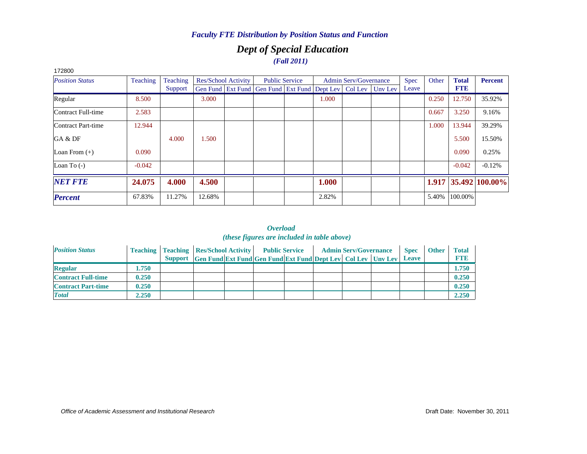### *Dept of Special Education (Fall 2011)*

| 172800                 |          |          |        |                            |                                                      |       |                              |         |             |       |              |                      |
|------------------------|----------|----------|--------|----------------------------|------------------------------------------------------|-------|------------------------------|---------|-------------|-------|--------------|----------------------|
| <b>Position Status</b> | Teaching | Teaching |        | <b>Res/School Activity</b> | <b>Public Service</b>                                |       | <b>Admin Serv/Governance</b> |         | <b>Spec</b> | Other | <b>Total</b> | <b>Percent</b>       |
|                        |          | Support  |        |                            | Gen Fund Ext Fund Gen Fund Ext Fund Dept Lev Col Lev |       |                              | Unv Lev | Leave       |       | <b>FTE</b>   |                      |
| Regular                | 8.500    |          | 3.000  |                            |                                                      | 1.000 |                              |         |             | 0.250 | 12.750       | 35.92%               |
| Contract Full-time     | 2.583    |          |        |                            |                                                      |       |                              |         |             | 0.667 | 3.250        | 9.16%                |
| Contract Part-time     | 12.944   |          |        |                            |                                                      |       |                              |         |             | 1.000 | 13.944       | 39.29%               |
| GA & DF                |          | 4.000    | 1.500  |                            |                                                      |       |                              |         |             |       | 5.500        | 15.50%               |
| Loan From $(+)$        | 0.090    |          |        |                            |                                                      |       |                              |         |             |       | 0.090        | 0.25%                |
| Loan To $(-)$          | $-0.042$ |          |        |                            |                                                      |       |                              |         |             |       | $-0.042$     | $-0.12%$             |
| <b>NET FTE</b>         | 24.075   | 4.000    | 4.500  |                            |                                                      | 1.000 |                              |         |             |       |              | 1.917 35.492 100.00% |
| <b>Percent</b>         | 67.83%   | 11.27%   | 12.68% |                            |                                                      | 2.82% |                              |         |             | 5.40% | 100.00%      |                      |

| <b>Position Status</b>    |       | <b>Teaching   Teaching   Res/School Activity   Public Service</b> |  |                                                                      |  | <b>Admin Serv/Governance</b> | <b>Spec</b>  | <b>Other</b> | <b>Total</b> |
|---------------------------|-------|-------------------------------------------------------------------|--|----------------------------------------------------------------------|--|------------------------------|--------------|--------------|--------------|
|                           |       |                                                                   |  | Support Gen Fund Ext Fund Gen Fund Ext Fund Dept Lev Col Lev Unv Lev |  |                              | <b>Leave</b> |              | <b>FTE</b>   |
| <b>Regular</b>            | 1.750 |                                                                   |  |                                                                      |  |                              |              |              | 1.750        |
| <b>Contract Full-time</b> | 0.250 |                                                                   |  |                                                                      |  |                              |              |              | 0.250        |
| <b>Contract Part-time</b> | 0.250 |                                                                   |  |                                                                      |  |                              |              |              | 0.250        |
| <b>Total</b>              | 2.250 |                                                                   |  |                                                                      |  |                              |              |              | 2.250        |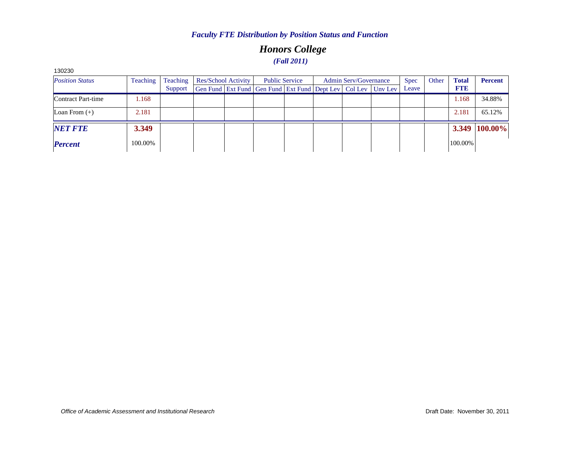### *Honors College (Fall 2011)*

| 130230                 |          |          |                                                              |                       |                              |             |       |              |                |
|------------------------|----------|----------|--------------------------------------------------------------|-----------------------|------------------------------|-------------|-------|--------------|----------------|
| <b>Position Status</b> | Teaching | Teaching | Res/School Activity                                          | <b>Public Service</b> | <b>Admin Serv/Governance</b> | <b>Spec</b> | Other | <b>Total</b> | <b>Percent</b> |
|                        |          | Support  | Gen Fund Ext Fund Gen Fund Ext Fund Dept Lev Col Lev Unv Lev |                       |                              | Leave       |       | <b>FTE</b>   |                |
| Contract Part-time     | 1.168    |          |                                                              |                       |                              |             |       | 1.168        | 34.88%         |
| Loan From $(+)$        | 2.181    |          |                                                              |                       |                              |             |       | 2.181        | 65.12%         |
| <b>NET FTE</b>         | 3.349    |          |                                                              |                       |                              |             |       |              | 3.349 100.00%  |
| <b>Percent</b>         | 100.00%  |          |                                                              |                       |                              |             |       | 100.00%      |                |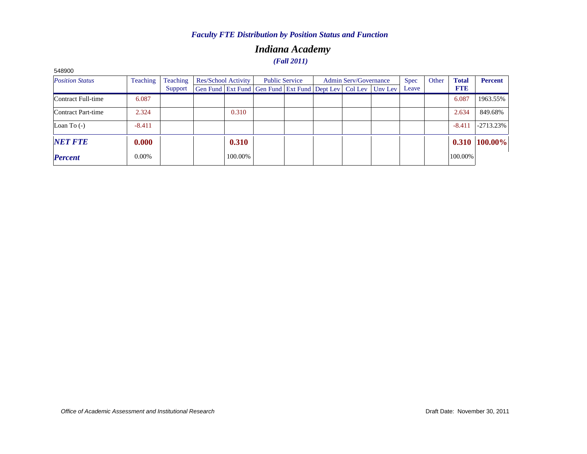### *Indiana Academy (Fall 2011)*

| <b>DURQPC</b>          |          |                 |                     |                                                                  |                       |                              |             |       |              |                |
|------------------------|----------|-----------------|---------------------|------------------------------------------------------------------|-----------------------|------------------------------|-------------|-------|--------------|----------------|
| <b>Position Status</b> | Teaching | <b>Teaching</b> | Res/School Activity |                                                                  | <b>Public Service</b> | <b>Admin Serv/Governance</b> | <b>Spec</b> | Other | <b>Total</b> | <b>Percent</b> |
|                        |          | Support         |                     | Gen Fund Ext Fund Gen Fund Ext Fund Dept Lev   Col Lev   Unv Lev |                       |                              | Leave       |       | <b>FTE</b>   |                |
| Contract Full-time     | 6.087    |                 |                     |                                                                  |                       |                              |             |       | 6.087        | 1963.55%       |
| Contract Part-time     | 2.324    |                 | 0.310               |                                                                  |                       |                              |             |       | 2.634        | 849.68%        |
| Loan To $(-)$          | $-8.411$ |                 |                     |                                                                  |                       |                              |             |       | $-8.41$      | $-2713.23\%$   |
| <b>NET FTE</b>         | 0.000    |                 | 0.310               |                                                                  |                       |                              |             |       | 0.310        | 100.00%        |
| <b>Percent</b>         | $0.00\%$ |                 | 100.00%             |                                                                  |                       |                              |             |       | 100.00%      |                |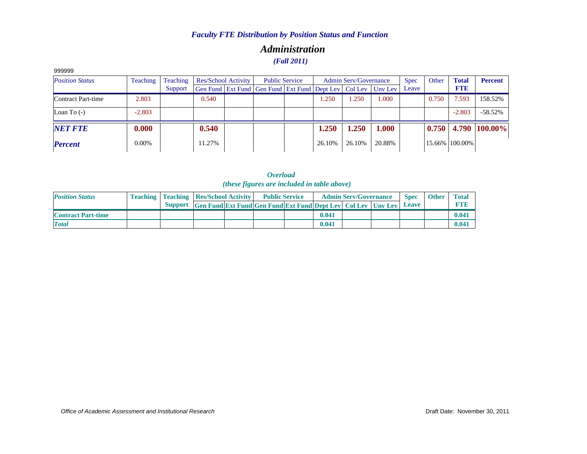### *Administration (Fall 2011)*

| 999999                 |          |          |                            |                                                                |                       |        |                       |         |             |       |                |                |
|------------------------|----------|----------|----------------------------|----------------------------------------------------------------|-----------------------|--------|-----------------------|---------|-------------|-------|----------------|----------------|
| <b>Position Status</b> | Teaching | Teaching | <b>Res/School Activity</b> |                                                                | <b>Public Service</b> |        | Admin Serv/Governance |         | <b>Spec</b> | Other | <b>Total</b>   | <b>Percent</b> |
|                        |          | Support  |                            | Gen Fund   Ext Fund   Gen Fund   Ext Fund   Dept Lev   Col Lev |                       |        |                       | Unv Lev | Leave       |       | <b>FTE</b>     |                |
| Contract Part-time     | 2.803    |          | 0.540                      |                                                                |                       | 1.250  | .250                  | 1.000   |             | 0.750 | 7.593          | 158.52%        |
| Loan To $(-)$          | $-2.803$ |          |                            |                                                                |                       |        |                       |         |             |       | $-2.803$       | $-58.52%$      |
| <b>NET FTE</b>         | 0.000    |          | 0.540                      |                                                                |                       | 1.250  | 1.250                 | 1.000   |             | 0.750 |                | 4.790 100.00%  |
| <b>Percent</b>         | $0.00\%$ |          | 11.27%                     |                                                                |                       | 26.10% | 26.10%                | 20.88%  |             |       | 15.66% 100.00% |                |

*Overload (these figures are included in table above)*

| <b>Position Status</b>    |  | <b>Teaching   Teaching   Res/School Activity  </b>                   |  | <b>Public Service</b> |       | <b>Admin Serv/Governance</b> | <b>Spec</b> | <b>Other</b> | <b>Total</b> |
|---------------------------|--|----------------------------------------------------------------------|--|-----------------------|-------|------------------------------|-------------|--------------|--------------|
|                           |  | Support Gen Fund Ext Fund Gen Fund Ext Fund Dept Lev Col Lev Unv Lev |  |                       |       |                              | Leave       |              |              |
| <b>Contract Part-time</b> |  |                                                                      |  |                       | 0.041 |                              |             |              | 0.04         |
| <b>Total</b>              |  |                                                                      |  |                       | 0.041 |                              |             |              | 0.04         |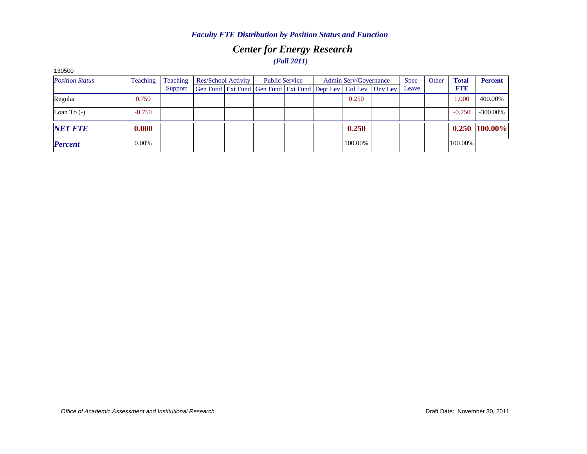### *Center for Energy Research (Fall 2011)*

| າ 30500                |                 |          |                     |  |                                                                          |  |                       |         |  |             |       |              |                 |
|------------------------|-----------------|----------|---------------------|--|--------------------------------------------------------------------------|--|-----------------------|---------|--|-------------|-------|--------------|-----------------|
| <b>Position Status</b> | <b>Teaching</b> | Teaching | Res/School Activity |  | <b>Public Service</b>                                                    |  | Admin Serv/Governance |         |  | <b>Spec</b> | Other | <b>Total</b> | <b>Percent</b>  |
|                        |                 | Support  |                     |  | Gen Fund   Ext Fund   Gen Fund   Ext Fund   Dept Lev   Col Lev   Unv Lev |  |                       |         |  | Leave       |       | <b>FTE</b>   |                 |
| Regular                | 0.750           |          |                     |  |                                                                          |  |                       | 0.250   |  |             |       | .000         | 400.00%         |
| Loan To $(-)$          | $-0.750$        |          |                     |  |                                                                          |  |                       |         |  |             |       | $-0.750$     | $-300.00\%$     |
| <b>NET FTE</b>         | 0.000           |          |                     |  |                                                                          |  |                       | 0.250   |  |             |       |              | $0.250$ 100.00% |
| <b>Percent</b>         | 0.00%           |          |                     |  |                                                                          |  |                       | 100.00% |  |             |       | 100.00%      |                 |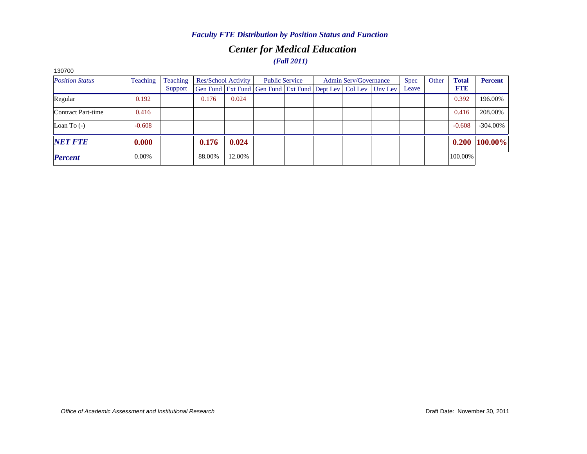### *Center for Medical Education (Fall 2011)*

| 130700                 |                 |          |                     |        |                                                                          |  |                              |  |  |             |       |              |                |
|------------------------|-----------------|----------|---------------------|--------|--------------------------------------------------------------------------|--|------------------------------|--|--|-------------|-------|--------------|----------------|
| <b>Position Status</b> | <b>Teaching</b> | Teaching | Res/School Activity |        | <b>Public Service</b>                                                    |  | <b>Admin Serv/Governance</b> |  |  | <b>Spec</b> | Other | <b>Total</b> | <b>Percent</b> |
|                        |                 | Support  |                     |        | Gen Fund   Ext Fund   Gen Fund   Ext Fund   Dept Lev   Col Lev   Unv Lev |  |                              |  |  | Leave       |       | <b>FTE</b>   |                |
| Regular                | 0.192           |          | 0.176               | 0.024  |                                                                          |  |                              |  |  |             |       | 0.392        | 196.00%        |
| Contract Part-time     | 0.416           |          |                     |        |                                                                          |  |                              |  |  |             |       | 0.416        | 208.00%        |
| Loan To $(-)$          | $-0.608$        |          |                     |        |                                                                          |  |                              |  |  |             |       | $-0.608$     | $-304.00\%$    |
| <b>NET FTE</b>         | 0.000           |          | 0.176               | 0.024  |                                                                          |  |                              |  |  |             |       | 0.200        | 100.00%        |
| <b>Percent</b>         | 0.00%           |          | 88.00%              | 12.00% |                                                                          |  |                              |  |  |             |       | 100.00%      |                |